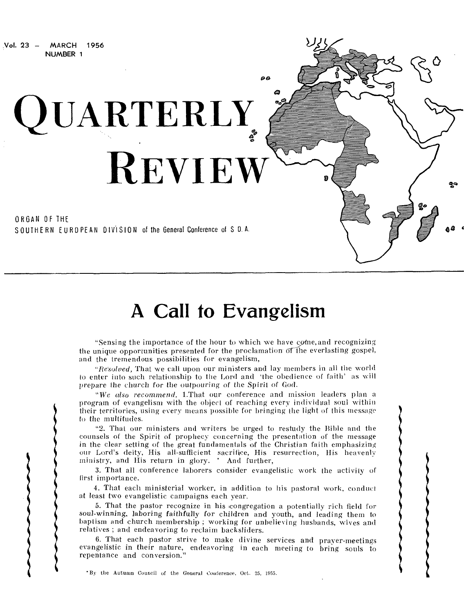Vol. 23 — MARCH 1956 NUMBER 1

> ORGAN OF THE SOUTHERN EUROPEAN DIVISION of the General Conference of S D.A.

**QUARTERLY** 

**REVIEW** 

# **A Call to Evangelism**

 $\boldsymbol{\rho}$  $\boldsymbol{\beta}$ 

9

ą۹

"Sensing the importance of the hour to which we have come, and recognizing the unique opportunities presented for the proclamation of the everlasting gospel, and the tremendous possibilities for evangelism,

*"Resolved,* That we call upon our ministers and lay members in all the world to enter into such relationship to the Lord and 'the obedience of faith' as will prepare the church for the outpouring of the Spirit of God.

"We *also recommend,* 1.That our conference and mission leaders plan a program of evangelism with the object of reaching every individual soul within their territories, using every means possible for bringing the light of this message to the multitudes.

"2. That our ministers and writers be urged to restudy the Bible and the counsels of the Spirit of prophecy concerning the presentation of the message in the clear setting of the great fundamentals of the Christian faith emphasizing our Lord's deity, His all-sufficient sacrifice, His resurrection, His heavenly ministry, and His return in glory. \* And further,

3. That all conference laborers consider evangelistic work the activity of first importance.

4. That each ministerial worker, in addition to his pastoral work, conduct at least two evangelistic campaigns each year.

5. That the pastor recognize in his congregation a potentially rich field for soul-winning, laboring faithfully for children and youth, and leading them to baptism and church membership ; working for unbelieving husbands, wives and relatives ; and endeavoring to reclaim backsliders.

6. That each pastor strive to make divine services and prayer-meetings evangelistic in their nature, endeavoring in each meeting to bring souls to repentance and conversion."

\*By the Autumn Council of the General Conference, Oct. 25, 1955.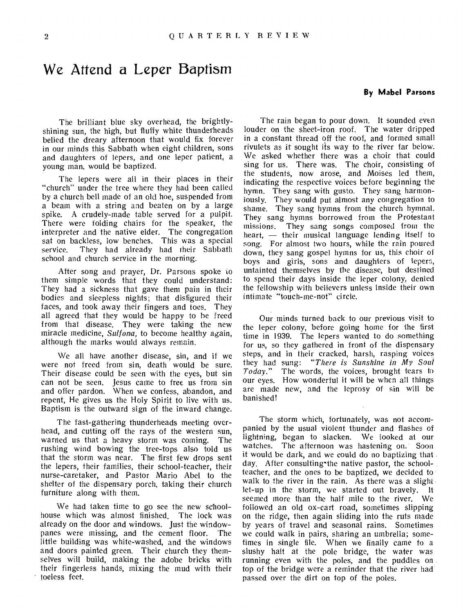### We Attend a Leper Baptism

#### **By Mabel Parsons**

The brilliant blue sky overhead, the brightlyshining sun, the high, but fluffy white thunderheads belied the dreary afternoon that would fix forever in our minds this Sabbath when eight children, sons and daughters of lepers, and one leper patient, a young man, would be baptized.

The lepers were all in their places in their "church" under the tree where they had been called by a church bell made of an old hoe, suspended from a beam with a string and beaten on by a large spike. A crudely-made table served for a pulpit. There were folding chairs for the speaker, the interpreter and the native elder. The congregation sat on backless, low benches. This was a special service. They had already had their Sabbath school and church service in the morning.

After song and prayer, Dr. Parsons spoke to them simple words that they could understand: They had a sickness that gave them pain in their bodies and sleepless nights; that disfigured their faces, and took away their fingers and toes. They all agreed that they would be happy to he freed from that disease. They were taking the new miracle medicine, *Sulfona,* to become healthy again, although the marks would always remain.

We all have another disease, sin, and if we were not freed from sin, death would be sure. Their disease could be seen with the eyes, but sin can not be seen. Jesus came to free us from sin and offer pardon. When we confess, abandon, and repent, He gives us the Holy Spirit to live with us. Baptism is the outward sign of the inward change.

The fast-gathering thunderheads meeting overhead, and cutting off the rays of the western sun, warned us that a heavy storm was coming. The rushing wind bowing the tree-tops also told us that the storm was near. The first few drops sent the lepers, their families, their school-teacher, their nurse-caretaker, and Pastor Mario Abel to the shelter of the dispensary porch, taking their church furniture along with them.

We had taken time to go see the new schoolhouse which was almost finished. The lock was already on the door and windows. Just the windowpanes were missing, and the cement floor. The little building was white-washed, and the windows and doors painted green. Their church they themselves will build, making the adobe bricks with their fingerless hands, mixing the mud with their toeless feet.

The rain began to pour down. It sounded even louder on the sheet-iron roof. The water dripped in a constant thread off the roof, and formed small rivulets as it sought its way to the river far below. We asked whether there was a choir that could sing for us. There was. The choir, consisting of the students, now arose, and Moises led them, indicating the respective voices before beginning the hymn. They sang with gusto. They sang harmoniously. They would put almost any congregation to shame. They sang hymns from the church hymnal. They sang hymns borrowed from the Protestant missions. They sang songs composed from the heart,  $-$  their musical language lending itself to song. For almost two hours, while the rain poured down, they sang gospel hymns for us, this choir of boys and girls, sons and daughters of lepers, untainted themselves by the disease, but destined to spend their days inside the leper colony, denied the fellowship with believers unless inside their own intimate "touch-me-not" circle.

Our minds turned back to our previous visit to the leper colony, before going home for the first time in 1939. The lepers wanted to do something for us, so they gathered in front of the dispensary steps, and in their cracked, harsh, rasping voices they had sung: *"There is Sunshine in My Soul Today."* The words, the voices, brought tears to our eyes. How wonderful it will be when all things are made new, and the leprosy of sin will be banished!

The storm which, fortunately, was not accompanied by the usual violent thunder and flashes of lightning, began to slacken. We looked at our watches. The afternoon was hastening on. Soon it would be dark, and we could do no baptizing that day. After consulting the native pastor, the schoolteacher, and the ones to be baptized, we decided to walk to the river in the rain. As there was a slight let-up in the storm, we started out bravely. It seemed more than the half mile to the river. We followed an old ox-cart road, sometimes slipping on the ridge, then again sliding into the ruts made by years of travel and seasonal rains. Sometimes we could walk in pairs, sharing an umbrella; sometimes in single file. When we finally came to a slushy halt at the pole bridge, the water was running even with the poles, and the puddles on top of the bridge were a reminder that the river had passed over the dirt on top of the poles.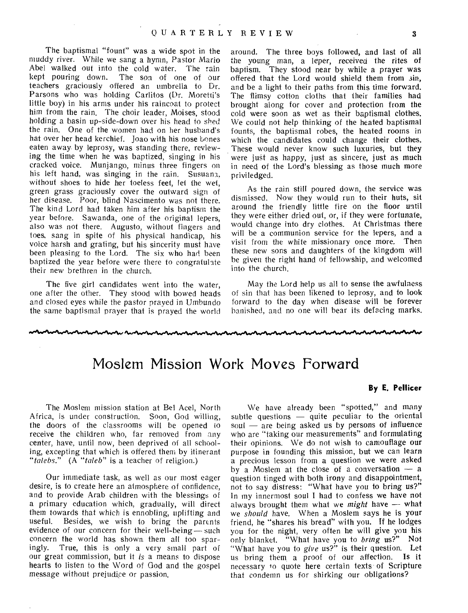The baptismal "fount" was a wide spot in the muddy river. While we sang a hymn, Pastor Mario Abel walked out into the cold water. The rain<br>kept pouring down. The son of one of our kept pouring down. teachers graciously offered an umbrella to Dr. Parsons who was holding Carlitos (Dr. Moretti's little boy) in his arms under his raincoat to protect him from the rain. The choir leader, Moises, stood holding a basin up-side-down over his head to shed the rain. One of the women had on her husband's hat over her head kerchief. Joao with his nose bones eaten away by leprosy, was standing there, reviewing the time when he was baptized, singing in his cracked voice. Munjango, minus three fingers on his left hand, was singing in the rain. Susuana, without shoes to hide her toeless feet, let the wet, green grass graciously cover the outward sign of her disease. Poor, blind Nascimento was not there. The kind Lord had taken him after his baptism the year before. Sawanda, one of the original lepers, also was not there. Augusto, without fingers and toes, sang in spite of his physical handicap, his voice harsh and grating, but his sincerity must have been pleasing to the Lord. The six who had been baptized the year before were there to congratulate their new brethren in the church.

The five girl candidates went into the water, one after the other. They stood with bowed heads and closed eyes while the pastor prayed in Umbundo the same baptismal prayer that is prayed the world

around. The three boys followed, and last of all the young man, a leper, received the rites of baptism. They stood near by while a prayer was offered that the Lord would shield them from sin, and be a light to their paths from this time forward. The flimsy cotton cloths that their families had brought along for cover and protection from the cold were soon as wet as their baptismal clothes. We could not help thinking of the heated baptismal founts, the baptismal robes, the heated rooms in which the candidates could change their clothes. These would never know such luxuries, but they were just as happy, just as sincere, just as much in need of the Lord's blessing as those much more priviledged.

As the rain still poured down, the service was dismissed. Now they would run to their huts, sit around the friendly little fire on the floor until they were either dried out, or, if they were fortunate, would change into dry clothes. At Christmas there will be a communion service for the lepers, and a visit from the white missionary once more. Then these new sons and daughters of the kingdom will be given the right hand of fellowship, and welcomed into the church.

May the Lord help us all to sense the awfulness of sin that has been likened to leprosy, and to look forward to the day when disease will be forever banished, and no one will bear its defacing marks.

### Moslem Mission Work Moves Forward

The Moslem mission station at Bel Acel, North Africa, is under construction. Soon, God willing, the doors of the classrooms will be opened to receive the children who, far removed from any center, have, until now, been deprived of all schooling, excepting that which is offered them by itinerant *"talebs."* (A *"taleb"* is a teacher of religion.)

Our immediate task, as well as our most eager desire, is to create here an atmosphere of confidence, and to provide Arab children with the blessings of a primary education which, gradually, will direct them towards that which is ennobling, uplifting and useful. Besides, we wish to bring the parents evidence of our concern for their well-being  $-$  such concern the world has shown them all too sparingly. True, this is only a very small part of our great commission, but it *is* a means to dispose hearts to listen to the Word of God and the gospel message without prejudice or passion.

#### **By E. Pellicer**

We have already been "spotted," and many subtle questions  $-$  quite peculiar to the oriental soul  $-$  are being asked us by persons of influence who are "taking our measurements" and formulating their opinions. We do not wish to camouflage our purpose in founding this mission, but we can learn a precious lesson from a question we were asked by a Moslem at the close of a conversation — a question tinged with both irony and disappointment, not to say distress: "What have you to bring us?" In my innermost soul I had to confess we have not always brought them what we *might* have -- what we *should* have. When a Moslem says he is your friend, he "shares his bread" with you. If he lodges you for the night, very often he will give you his only blanket. "What have you to *bring* us?" Not "What have you to *give* us?" is their question. Let us bring them a proof of our affection. Is it necessary io quote here certain texts of Scripture that condemn us for shirking our obligations?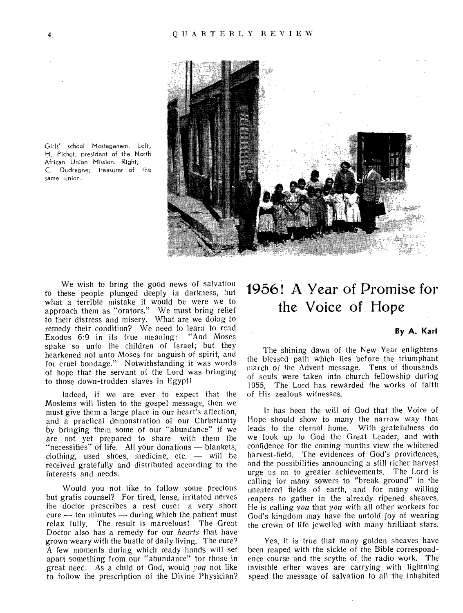

Girls' school Mostaganem. Left, H. Pichot, president of the North African Union Mission. Right, C. Dudragne: treasurer of the same union.

We wish to bring the good news of salvation to these people plunged deeply in darkness, but what a terrible mistake it would be were we to approach them as "orators." We must bring relief to their distress and misery. What are we doing to remedy their condition? We need to learn to read Exodus 6:9 in its true meaning: "And Moses spake so unto the children of Israel; but they hearkened not unto Moses for anguish of spirit, and for cruel bondage." Notwithstanding it was words of hope that the servant of the Lord was bringing to those down-trodden slaves in Egypt!

Indeed, if we are ever to expect that the Moslems will listen to the gospel message, then we must give them a large place in our heart's affection, and a practical demonstration of our Christianity by bringing them some of our "abundance" if we are not yet prepared to share with them the "necessities" of life. All your donations — blankets, clothing, used shoes, medicine, etc. — will be received gratefully and distributed according to the interests and needs.

Would you not like to follow some precious but gratis counsel? For tired, tense, irritated nerves the doctor prescribes a rest cure: a very short cure — ten minutes — during which the patient must relax fully. The result is marvelous! The Great Doctor also has a remedy for our *hearts* that have grown weary with the bustle of daily living. The cure? A few moments during which ready hands will set apart something from our "abundance" for those in great need. As a child of God, would *you* not like to follow the prescription of the Divine Physician?

# 1956! A Year of Promise for the Voice of Hope

#### **By A. Karl**

The shining dawn of the New Year enlightens the blessed path which lies before the triumphant march of the Advent message. Tens of thousands of souls were taken into church fellowship during 1955. The Lord has rewarded the works of faith of His zealous witnesses.

It has been the will of God that the Voice of Hope should show to many the narrow way that leads to the eternal home. With gratefulness do we look up to God the Great Leader, and with confidence for the coming months view the whitened harvest-field. The evidences of God's providences, and the possibilities announcing a still richer harvest urge us on to greater achievements. The Lord is calling for many sowers to "break ground" in the unentered fields of earth, and for many willing reapers to gather in the already ripened sheaves. He is calling *you* that *you* with all other workers for God's kingdom may have the untold joy of wearing the crown of life jewelled with many brilliant stars.

Yes, it is true that many golden sheaves have been reaped with the sickle of the Bible correspondence course and the scythe of the radio work. The invisible ether waves are carrying with lightning speed the message of salvation to all the inhabited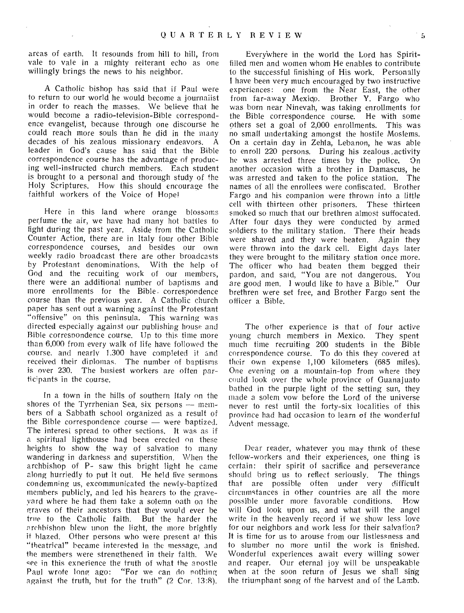areas of earth. It resounds from hill to hill, from vale to vale in a mighty reiterant echo as one willingly brings the news to his neighbor.

A Catholic bishop has said that if Paul were to return to our world he would become a journalist in order to reach the masses. We believe that he would become a radio-television-Bible correspondence evangelist, because through one discourse he could reach more souls than he did in the many decades of his zealous missionary endeavors. A leader in God's cause has said that the Bible correspondence course has the advantage of producing well-instructed church members. Each student is brought to a personal and thorough study of the Holy Scriptures. How this should encourage the faithful workers of the Voice of Hope!

Here in this land where orange blossoms perfume the air, we have had many hot battles to fight during the past year. Aside from the Catholic Counter Action, there are in Italy four other Bible correspondence courses, and besides our own weekly radio broadcast there are other broadcasts by Protestant denominations. With the help of God and the recuiting work of our members, there were an additional number of baptisms and more enrollments for the Bible, correspondence course than the previous year. A Catholic church paper has sent out a warning against the Protestant "offensive" on this peninsula. This warning was directed especially against our publishing house and Bible correspondence course. Up to this time more than 6,000 from every walk of life have followed the course, and nearly 1.300 have completed it and received their diplomas. The number of baptisms is over 230. The busiest workers are often participants in the course.

In a town in the hills of southern Italy on the shores of the Tyrrhenian Sea, six persons — members of a Sabbath school organized as a result of the Bible correspondence course — were baptized. The interest spread to other sections. It was as if a spiritual lighthouse had been erected on these heights to show the way of salvation to many wandering in darkness and superstition. When the archbishop of P- saw this bright light he came along hurriedly to put it out. He held five sermons condemning us, excommunicated the newly-baptized members publicly, and led his hearers to the graveyard where he had them take a solemn oath on lhe graves of their ancestors that they would ever be true to the Catholic faith. But the harder the archbishop blew upon the light, the more brightly it blazed. Other persons who were present at this "theatrical" became interested in the message, and the members were strengthened in their faith. We see in this exnerience the truth of what the apostle Paul wrote long ago: "For we can do nothing against the truth, hut for the truth" (2 Cor. 13:8).

Every'where in the world the Lord has Spiritfilled men and women whom He enables to contribute to the successful finishing of His work. Personally I have been very much encouraged by two instructive experiences: one from the Near East, the other from far-away Mexico. Brother Y. Fargo who was born near Ninevah, was taking enrollments for the Bible correspondence course. He with some others set a goal of 2,000 enrollments. This was no small undertaking amongst the hostile Moslems. On a certain day in Zehla, Lebanon, he was able to enroll 220 persons. During his zealous ,activity he was arrested three times by the police, On another occasion with a brother in Damascus, he was arrested and taken to the police station. The names of all the enrollees were confiscated. Brother Fargo and his companion were thrown into a little cell with thirteen other prisoners. These thirteen smoked so much that our brethren almost suffocated. After four days they were conducted by armed soldiers to the military station. There their heads were shaved and they were beaten. Again they were thrown into the dark cell. Eight days later they were brought to the military station once more. The officer who had beaten them begged their pardon, and said, "You are not dangerous. You are good men. I would like to have a Bible." Our brethren were set free, and Brother Fargo sent the officer a Bible.

The other experience is that of four active young church members in Mexico. They spent much time recruiting 200 students in the Bible correspondence course. To do this they covered at their own expense 1,100 kilometers (685 miles). One evening on a mountain-top from where they could look over the whole province of Guanajuato bathed in the purple light of the setting sun, they made a solem vow before the Lord of the universe never to rest until the forty-six localities of this province had had occasion to learn of the wonderful Advent message.

Dear reader, whatever you may think of these fellow-workers and their experiences, one thing is certain: their spirit of sacrifice and perseverance should bring us to reflect seriously. The things that are possible often under very difficult circumstances in other countries are all the more possible under more favorable conditions. will God look upon us, and what will the angel write in the heavenly record if we show less love for our neighbors and work less for their salvation? It is time for us to arouse from our listlessness and to slumber no more until the work is finished. Wonderful experiences await every willing sower and reaper. Our eternal joy will be unspeakable when at the soon return of Jesus we shall sing the triumphant song of the harvest and of the Lamb.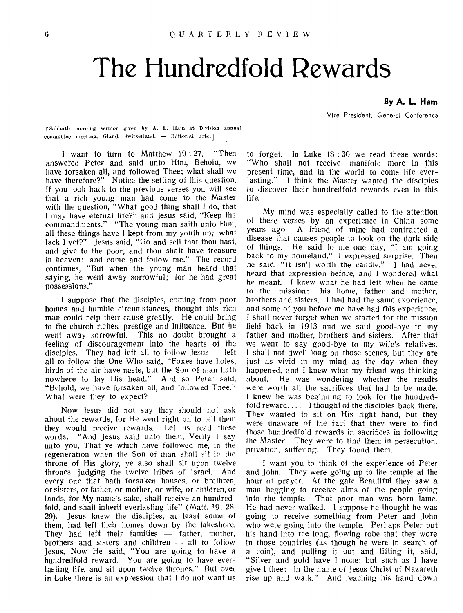# **The Hundredfold Rewards**

**By A. L. Ham** 

Vice President, General Conference

[Sabbath morning sermon given by A. L. Ham at Division annual committee meeting, Gland, Switzerland. — Editorial note.1

I want to turn to Matthew 19 : 27. "Then answered Peter and said unto Him, Behold, we have forsaken all, and followed Thee; what shall we have therefore?" Notice the setting of this question. If you look back to the previous verses you will see that a rich young man had come to the Master with the question, "What good thing shall I do, that I may have eternal life?" and Jesus said, "Keep the commandments." "The young man saith unto Him, all these things have I kept from my youth up; what lack I yet?" Jesus said, "Go and sell that thou hast, and give to the poor, and thou shalt have treasure in heaven: and come and follow me." The record continues, "But when the young man heard that saying, he went away sorrowful; for he had great possessions."

I suppose that the disciples, coming from poor homes and humble circumstances, thought this rich man could help their cause greatly. He could bring to the church riches, prestige and influence. But he went away sorrowful. This no doubt brought a feeling of discouragement into the hearts of the disciples. They had left all to follow Jesus — left all to follow the One Who said, "Foxes have holes, birds of the air have nests, but the Son of man hath nowhere to lay His head." And so Peter said, "Behold, we have forsaken all, and followed Thee." What were they to expect?

Now Jesus did not say they should not ask about the rewards, for He went right on to tell them they would receive rewards. Let us read these words: "And Jesus said unto them, Verily I say unto you, That ye which have followed me, in the regeneration when the Son of man shall sit in the throne of His glory, ye also shall sit upon twelve thrones, judging the twelve tribes of Israel. And every one that hath forsaken houses, or brethren, or sisters, or father, or mother. or wife, or children, or lands, for My name's sake, shall receive an hundredfold, and shall inherit everlasting life" (Matt. 19: 2S, 29). Jesus knew the disciples, at least some of them, had left their homes down by the lakeshore. They had left their families — father, mother, brothers and sisters and children — all to follow Jesus. Now He said, "You are going to have a hundredfold reward. You are going to have everlasting life, and sit upon twelve thrones." But over in Luke there is an expression that I do not want us

to forget. In Luke 18 : 30 we read these words: "Who shall not receive manifold more in this present time, and in the world to come life everlasting." I think the Master wanted the disciples to discover their hundredfold rewards even in this life.

My mind was especially called to the attention of these verses by an experience in China some years ago. A friend of mine had contracted a disease that causes people to look on the dark side of things. He said to me one day, "I am going back to my homeland." I expressed surprise. Then he said, "It isn't worth the candle." I had never heard that expression before, and I wondered what he meant. I knew what he had left when he came to the mission: his home, father and mother, brothers and sisters. I had had the same experience, and some of you before me have had this experience. I shall never forget when we started for the mission field back in 1913 and we said good-bye to my father and mother, brothers and sisters. After that we went to say good-bye to my wife's relatives. I shall not dwell long on those scenes, but they are just as vivid in my mind as the day when they happened, and I knew what my friend was thinking<br>about. He was wondering whether the results He was wondering whether the results were worth all the sacrifices that had to be made. I knew he was beginning to look for the hundredfold reward.... I thought of the disciples back there. They wanted to sit on His right hand, but they were unaware of the fact that they were to find those hundredfold rewards in sacrifices in following the Master. They were to find them in persecution, privation, suffering. They found them.

I want you to think of the experience of Peter and John. They were going up to the temple at the hour of prayer. At the gate Beautiful they saw a man begging to receive alms of the people going into the temple. That poor man was born lame. He had never walked. I suppose he thought he was going to receive something from Peter and John who were going into the temple. Perhaps Peter put his hand into the long, flowing robe that they wore in those countries (as though he were in search of a coin), and pulling it out and lifting it, said, "Silver and gold have I none; but such as I have give I thee: In the name of Jesus Christ of Nazareth rise up and walk." And reaching his hand down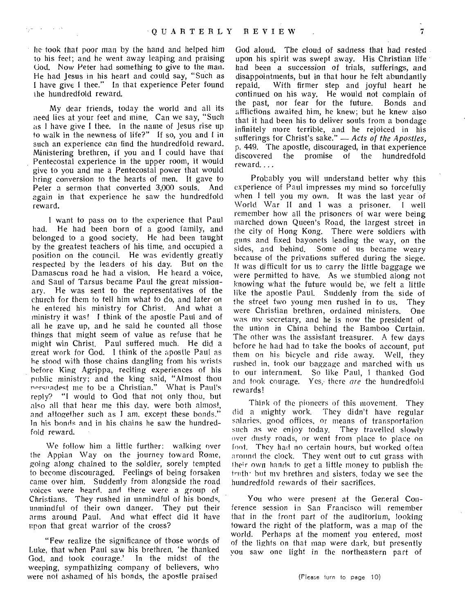he took that poor man by the hand and helped him to his feet; and he went away leaping and praising God. Now Peter had something to give to the man. He had Jesus in his heart and could say, "Such as I have give I thee." In that experience Peter found the hundredfold reward.

My dear friends, today the world and all its need lies at your feet and mine. Can we say, "Such as I have give I thee. In the name of Jesus rise up to walk in the newness of life?" If so, you and I in such an experience can find the hundredfold reward. Ministering brethren, if you and I could have that Pentecostal experience in the upper room, it would give to you and me a Pentecostal power that would bring conversion to the hearts of men. It gave to Peter a sermon that converted 3,000 souls. And again in that experience he saw the hundredfold reward.

I want to pass on to the experience that Paul had. He had been born of a good family, and belonged to a good society. He had been taught by the greatest teachers of his time, and occupied a position on the council. He was evidently greatly respected by the leaders of his day. But on the Damascus road he had a vision. He heard a voice, and Saul of Tarsus became Paul the great missionary. He was sent to the representatives of the church for them to tell him what to do, and later on he entered his ministry for Christ. And what a ministry it was! I think of the apostle Paul and of all he gave up, and he said he counted all those things that might seem of value as refuse that he might win Christ. Paul suffered much. He did a great work for God. I think of the apostle Paul as he stood with those chains dangling from his wrists before King Agrippa, reciting experiences of his public ministry; and the king said, "Almost thou norsoadest me to be a Christian." What is Paul's reply? "I would to God that not only thou, but also all that hear me this day, were both almost, and altogether such as I am, except these bonds." In his bonds and in his chains he saw the hundredfold reward.

We follow him a little further: walking over the Appian Way on the journey toward Rome, *going* along chained to the soldier, sorely tempted to become discouraged. Feelings of being forsaken came over him. Suddenly from alongside the road voices were heard, and there were a group of Christians. They rushed in unmindful of his bonds, unmindful of their own danger. They put their arms around Paul. And what effect did it have upon that great warrior of the cross?

"Few realize the significance of those words of Luke, that when Paul saw his brethren, 'he thanked God, and took courage.' In the midst of the weeping, sympathizing company of believers, who were not ashamed of his bonds, the apostle praised

God aloud. The cloud of sadness that had rested upon his spirit was swept away. His Christian life had been a succession of trials, sufferings, and disappointments, but in that hour he felt abundantly repaid. With firmer step and joyful heart he continued on his way. He would not complain of the past, nor fear for the future. Bonds and afflictions awaited him, he knew; but he knew also that it had been his to deliver souls from a bondage infinitely more terrible, and he rejoiced in his sufferings for Christ's sake." — *Acts of the Apostles,*  p. 449. The apostle, discouraged, in that experience discovered the promise of the hundredfold reward....

Probably you will understand better why this experience of Paul impresses my mind so forcefully when I tell you my own. It was the last year of World War II and I was a prisoner. I well remember how all the prisoners of war were being marched down Queen's Road, the largest street in the city of Hong Kong. There were soldiers with guns and fixed bayonets leading the way, on the sides, and behind. Some of us became weary because of the privations suffered during the siege. It was difficult for us to carry the little baggage we were permitted to have. As we stumbled along not knowing what the future would be; we felt a little like the apostle Paul. Suddenly from the side of the street two young men rushed in to us. They were Christian brethren, ordained ministers. One was my secretary, and he is now the president of the union in China behind the Bamboo Curtain. The other was the assistant treasurer. A few days before he had had to take the books of account, put them on his bicycle and ride away. Well, they rushed in, took our baggage and marched with us to our internment. So like Paul, I thanked God and took courage. Yes, there *are* the hundredfold rewards!

Think of the pioneers of this movement. They did a mighty work. They didn't have regular salaries, good offices, or means of transportation such as we enjoy today. They travelled slowly over dusty roads, or went from place to place on font. They had no certain hours, but worked often around the clock. They went out to cut grass with their own hands to get a little money to publish the truth· but my brethren and sisters, today we see the hundredfold rewards of their sacrifices.

You who were present at the General Conference session in San Francisco will remember that in the front part of the auditorium, looking toward the right of the platform, was a map of the world. Perhaps at the moment you entered, most of the lights on that map were dark, but presently you saw one light in the northeastern part of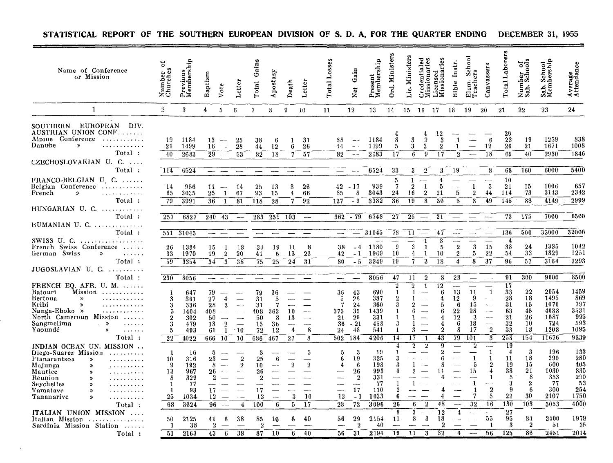| Name of Conference<br>or Mission                                                                                                                                                                                                                                                                                                                                                                                                                       | 5<br>Number<br>Churches                                          | Previous<br>Membership                                         | Baptism                                        | Vote                                                                                                                                              | Letter                                                                   | Gains<br>Total                                           | postasy<br>€                                                        | Death                    | Letter                                       | Total Losses                                             | Gain<br>Net                                                                             | Present<br>Membership                                        | Ord. Ministers                           | Ministers<br><u>ن:</u>                                          | ್ದ ಇ<br>Credentialed<br>Missionaries                     | Licensed<br>Missionaries                       | Instr.<br>Bible                                                        | School<br>Teachers<br>Elem.                                              | Canvassers                                                                                                                                                           | Total Laborers                                                           | Number of<br>Sab. Schools                                       | School<br>hership<br>Sab.<br>Mem                               | Average<br>Attendance                                         |
|--------------------------------------------------------------------------------------------------------------------------------------------------------------------------------------------------------------------------------------------------------------------------------------------------------------------------------------------------------------------------------------------------------------------------------------------------------|------------------------------------------------------------------|----------------------------------------------------------------|------------------------------------------------|---------------------------------------------------------------------------------------------------------------------------------------------------|--------------------------------------------------------------------------|----------------------------------------------------------|---------------------------------------------------------------------|--------------------------|----------------------------------------------|----------------------------------------------------------|-----------------------------------------------------------------------------------------|--------------------------------------------------------------|------------------------------------------|-----------------------------------------------------------------|----------------------------------------------------------|------------------------------------------------|------------------------------------------------------------------------|--------------------------------------------------------------------------|----------------------------------------------------------------------------------------------------------------------------------------------------------------------|--------------------------------------------------------------------------|-----------------------------------------------------------------|----------------------------------------------------------------|---------------------------------------------------------------|
| $\mathbf{1}$                                                                                                                                                                                                                                                                                                                                                                                                                                           | $\overline{2}$                                                   | 3                                                              | 4                                              | $\overline{5}$                                                                                                                                    | $6\phantom{.}6$                                                          | $7\phantom{.}$                                           | 8                                                                   | 9                        | 10                                           | 11                                                       | 12                                                                                      | 13                                                           | 14                                       | 15                                                              | 16                                                       | -17                                            | 18                                                                     | 19                                                                       | 20                                                                                                                                                                   | 21                                                                       | $22\,$                                                          | 23                                                             | $^{24}$                                                       |
| EUROPEAN<br>SOUTHERN<br>DIV.<br>AUSTRIAN UNION CONF.<br>Alpine Conference<br>.<br>Danube<br>$\boldsymbol{\mathcal{D}}$<br>.<br>Total:<br>CZECHOSLOVAKIAN U. C.                                                                                                                                                                                                                                                                                         | 19<br>21<br>40                                                   | 1184<br>1499<br>2683                                           | 13<br>16<br>29                                 | $\sim$<br>$\overline{\phantom{a}}$<br>$\overline{\phantom{0}}$                                                                                    | 25<br>28<br>53                                                           | 38<br>44<br>82                                           | -6<br>12<br>18                                                      | -1<br>ĥ<br>7             | 31<br>26<br>57                               | 38<br>44<br>82                                           | $\sim$ $\sim$<br>$\sim$<br>$ -$                                                         | 1184<br>1499<br>2333                                         | 8<br>5<br>17                             | 3<br>3.<br>6                                                    | $\overline{2}$<br>3<br>9                                 | $12\phantom{.0}$<br>-3<br>$\overline{2}$<br>17 | 1<br>1<br>$\mathfrak{D}$                                               | $\overline{\phantom{0}}$<br>$\frac{1}{2}$                                | 6<br>12<br>18                                                                                                                                                        | 20<br>23<br>26<br>69                                                     | 19<br>21<br>40                                                  | 1259<br>1671<br>2930                                           | 838<br>1008<br>1846                                           |
| Total:                                                                                                                                                                                                                                                                                                                                                                                                                                                 | 114                                                              | 6524                                                           | --                                             | $\sim$                                                                                                                                            |                                                                          |                                                          | 1.1                                                                 |                          |                                              |                                                          |                                                                                         | 6524                                                         | 33                                       | 3                                                               | $\overline{2}$                                           | 3                                              | 19                                                                     |                                                                          | 8                                                                                                                                                                    | 68                                                                       | 160                                                             | 6000                                                           | 5400                                                          |
| FRANCO-BELGIAN U C.<br>Belgian Conference<br>French<br>$\mathcal{P}$<br>.<br>Total:<br>HUNGARIAN U. C. $\dots\dots\dots$                                                                                                                                                                                                                                                                                                                               | 14<br>65<br>79                                                   | 956<br>3035<br>3991                                            | 11<br>25<br>36                                 | $\overline{\phantom{m}}$<br>$\mathbf{1}$<br>$\mathbf{1}$                                                                                          | -14<br>67<br>81                                                          | 25<br>93<br>118                                          | -13<br>15<br>28                                                     | 3<br>$\overline{4}$<br>7 | 26<br>66<br>92                               | 42<br>85<br>127                                          | $-17$<br>8<br>$-9$                                                                      | 939<br>3043<br>3982                                          | 5<br>7<br>24<br>36                       | $\mathbf{1}$<br>$\overline{2}$<br>16<br>19                      | $\sim$<br>-1<br>$\overline{2}$<br>$\overline{3}$         | 4<br>5<br>21<br>30                             | ----<br>5<br>5                                                         | $\overline{\phantom{0}}$<br>$\mathbf{1}$<br>$\overline{2}$<br>3          | $\overline{\phantom{a}}$<br>$\overline{5}$<br>44<br>49                                                                                                               | 10<br>21<br>114<br>145                                                   | 15<br>73<br>88                                                  | 1006<br>3143<br>4149                                           | 657<br>2342<br>2999                                           |
| Total:                                                                                                                                                                                                                                                                                                                                                                                                                                                 | 257                                                              | 6827                                                           | 240                                            | -43                                                                                                                                               | $\longrightarrow$                                                        | 283                                                      | 259 103                                                             |                          | $\overline{\phantom{a}}$                     | 362                                                      | $-79$                                                                                   | 6748                                                         | 27                                       | 25                                                              | $\overline{\phantom{m}}$                                 | 21                                             |                                                                        |                                                                          | $\overline{\phantom{a}}$                                                                                                                                             | 73                                                                       | 175                                                             | 7000                                                           | 6500                                                          |
| RUMANIAN U. C.<br>Total:                                                                                                                                                                                                                                                                                                                                                                                                                               |                                                                  |                                                                |                                                |                                                                                                                                                   |                                                                          |                                                          |                                                                     |                          |                                              |                                                          |                                                                                         | 31045                                                        |                                          |                                                                 |                                                          |                                                |                                                                        |                                                                          |                                                                                                                                                                      | 136                                                                      | 500                                                             | 35000                                                          | 32000                                                         |
| SWISS U. C. $\dots \dots \dots$<br>French Swiss Conference<br>German Swiss<br>$\gg$<br>$\alpha$ , $\alpha$ , $\alpha$ , $\alpha$<br>Total:                                                                                                                                                                                                                                                                                                             | 551<br>26<br>33<br>59                                            | 31045<br>1384<br>1970<br>3354                                  | 15<br>19<br>34                                 | 1<br>$\overline{2}$<br>3                                                                                                                          | 18<br>20<br>38                                                           | 34<br>41<br>75                                           | 19<br>6<br>25                                                       | -11<br>13<br>24          | 8<br>23<br>31                                | 42<br>80                                                 | 38<br>$-4$<br>$-1$<br>$-5$                                                              | 1380<br>1969<br>$33\overline{4}9$                            | 78<br>9<br>10<br>$\overline{19}$         | 11<br>$\sqrt{3}$<br>4<br>7                                      | $\overline{\phantom{m}}$<br>$\mathbf{1}$<br>-1<br>1<br>3 | 47<br>$\overline{\mathbf{3}}$<br>5<br>10<br>18 | ----<br>----<br>$\sqrt{2}$<br>$\overline{2}$<br>4                      | ---<br>$\sqrt{3}$<br>5<br>8                                              | $\overline{\phantom{a}}$<br>15<br>22<br>37                                                                                                                           | 4<br>38<br>54<br>96                                                      | $\substack{24 \\ 33}$<br>57                                     | 1335<br>1829<br>3164                                           | 1042<br>1251<br>2293                                          |
| $JUGOSLAVIAN$ U. C.<br>Total:                                                                                                                                                                                                                                                                                                                                                                                                                          | 230                                                              |                                                                |                                                |                                                                                                                                                   |                                                                          |                                                          |                                                                     |                          |                                              |                                                          |                                                                                         | 8056                                                         | 47                                       | 11                                                              | $\overline{2}$                                           | 8                                              | 23                                                                     |                                                                          | $\overline{\phantom{a}}$                                                                                                                                             | 91                                                                       | 300                                                             | 9000                                                           | 8500                                                          |
| FRENCH EQ. AFR. U. M. $\dots$<br>Mission<br>Batouri<br>Bertoua<br>$\gg$<br>.<br>Kribi<br>$\boldsymbol{\lambda}$<br>. <i>.</i><br>Nanga-Eboko »<br>. <b>.</b><br>North Cameroun Mission<br>.<br>Sangmelima<br>$\rightarrow$<br>$\mathbf{r}$ , $\mathbf{r}$ , $\mathbf{r}$ , $\mathbf{r}$<br>$\sim$<br>Yaoundé<br>$\rightarrow$<br>$\begin{array}{cccccccccc} \bullet & \bullet & \bullet & \bullet & \bullet & \bullet & \bullet \end{array}$<br>Total: | -1<br>3<br>3<br>5<br>$\overline{2}$<br>3<br>5<br>$\overline{22}$ | 8056<br>647<br>361<br>336<br>1404<br>302<br>479<br>493<br>4022 | 79<br>27<br>28<br>408<br>50<br>13<br>61<br>666 | $\begin{array}{ccccccccc} \text{---} & \text{---} & \text{---} & \end{array}$<br>4<br>3<br>$\frac{1}{2}$<br>$\overline{2}$<br>$\mathbf{1}$<br>-10 | $\overline{\phantom{a}}$<br>$\overline{\phantom{a}}$<br>$\cdot$ 10<br>10 | 79<br>31<br>31<br>408<br>50<br>15<br>72<br>686           | 36<br>$\frac{1}{2}$<br>7<br>363<br>8<br>3 <sub>b</sub><br>12<br>467 | 10<br>13<br>4<br>27      | $\overline{\phantom{a}}$<br>------<br>8<br>8 | $\overline{\phantom{a}}$<br>36<br>373<br>21<br>24<br>502 | $\sim$<br>43<br>26<br>5<br>24<br>7<br>35<br>29<br>36<br>$-21$<br>48<br>184              | 690<br>387<br>360<br>1439<br>331<br>458<br>541<br>4206       | $\overline{\mathbf{2}}$<br>1<br>-1<br>14 | $\overline{2}$<br>$\mathbf{1}$<br>6<br>3<br>17                  | $\mathbf{1}$                                             | $\overline{12}$<br>6<br>4<br>$\bf{2}$<br>43    | $\overline{\phantom{a}}$<br>13<br>12<br>-6<br>22<br>12<br>6<br>8<br>79 | $\overline{\phantom{0}}$<br>11<br>9<br>15<br>28<br>-3<br>18<br>17<br>101 | $\overline{\phantom{0}}$<br>$\mathbf{1}$<br>$\overline{\phantom{m}}$<br>$\sim$<br>------<br>$\overline{\phantom{0}}$<br>$\overline{2}$<br>-3                         | 17<br>33<br>28<br>31<br>63<br>21<br>32<br>33<br>258                      | 22<br>18<br>15<br>45<br>26<br>10<br>18<br>154                   | 2054<br>1495<br>1070<br>4038<br>1087<br>724<br>1208<br>11676   | 1459<br>-869<br>797<br>3531<br>995<br>593<br>1095<br>9339     |
| INDIAN OCEAN UN. MISSION<br>Diego-Suarez Mission<br>Fianarantsoa<br>$\gg$<br>.<br>Majunga<br>≫<br>Maurice<br>$\boldsymbol{\omega}$<br>.<br>Réunion<br>$\boldsymbol{\mathsf{s}}$<br>Seychelles<br>. <i>.</i><br>Tamatave<br>≫<br>. <i>.</i><br>Tananarive<br>$\boldsymbol{\mathcal{D}}$<br>. <i>.</i><br>Total:<br>ITALIAN UNION MISSION                                                                                                                | 1<br>10<br>9<br>13<br>8<br>1<br>1<br>25<br>68                    | -16<br>316<br>192<br>967<br>329<br>77<br>93<br>1034<br>3024    | 8<br>23<br>8<br>26<br>17<br>12                 | $\sim$<br>—<br>$\overline{\phantom{m}}$<br>$96 -$                                                                                                 | $\boldsymbol{2}$<br>$\overline{2}$<br>$\sim$<br>4                        | 8<br>25<br>10<br>26<br>$\overline{2}$<br>17<br>12<br>100 | 6<br>$\overline{\phantom{a}}$<br>6                                  | $\overline{2}$<br>3<br>5 | -5<br>$\overline{2}$<br>—-<br>10<br>17       | —…<br>28                                                 | 3<br>-5<br>19<br>6<br>-6<br>4<br>26<br>$\overline{2}$<br>----<br>17<br>13<br>$-1$<br>72 | -19<br>335<br>198<br>993<br>331<br>77<br>110<br>1033<br>3096 | 4<br>$\overline{1}$<br>6<br>26<br>8      | $\overline{2}$<br>1<br>$\overline{2}$<br>$\mathbf{1}$<br>6<br>3 | $\overline{2}$<br>$\overline{2}$<br>-                    | 9<br>2<br>8<br>11<br>48<br>12                  | $\overline{\phantom{a}}$<br>4                                          | $\overline{2}$<br>1<br>-5<br>15<br>-1<br>7<br>32                         | $\overline{\phantom{a}}$<br>$\mathbf{1}$<br>$\mathbf{1}$<br>$\boldsymbol{2}$<br>$\overline{4}$<br>1<br>----<br>$\overline{2}$<br>5<br>16<br>$\overline{\phantom{a}}$ | 19<br>$\overline{4}$<br>11<br>19<br>38<br>5<br>3<br>9<br>22<br>130<br>27 | 3<br>18<br>15<br>21<br>8<br>$\boldsymbol{2}$<br>6<br>-30<br>103 | 196<br>390<br>600<br>1030<br>353<br>-77<br>300<br>2107<br>5053 | 133<br>280<br>405<br>835<br>290<br>-53<br>254<br>1750<br>4000 |
| Italian Mission<br>. <b>. .</b><br>Sardinia Mission Station<br>Total:                                                                                                                                                                                                                                                                                                                                                                                  | 50<br>-1<br>51                                                   | 2125<br>38<br>2163                                             | 41<br>$\overline{2}$<br>43                     | 6<br>6                                                                                                                                            | 38<br>38                                                                 | 85<br>$\overline{2}$<br>87                               | 10<br>10                                                            | 6                        | 40<br>40                                     | 56                                                       | 29<br>$\overline{2}$<br>31<br>56                                                        | 2154<br>40<br>2194                                           | 11<br>19                                 | 8<br>11                                                         | 3<br>3                                                   | 18<br>2<br>$\overline{32}$                     |                                                                        |                                                                          | 55<br>-1<br>56                                                                                                                                                       | 95<br>3<br>125                                                           | 84<br>$^{2}$<br>86                                              | 2400<br>51<br>2451                                             | 1979<br>35<br>2014                                            |

### **STATISTICAL REPORT OF THE SOUTHERN EUROPEAN DIVISION OF S. D. A. FOR THE QUARTER ENDING DECEMBER 31, 1955**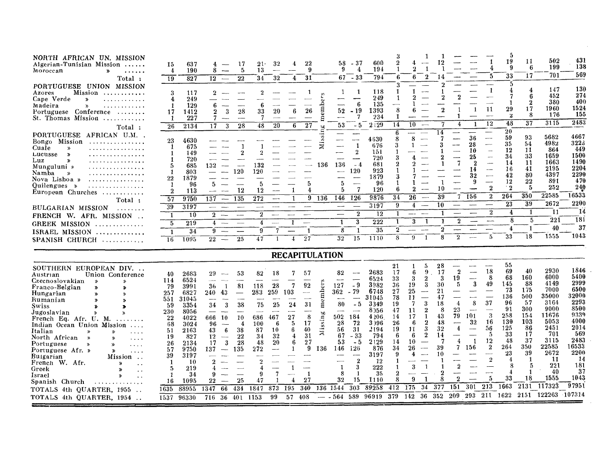| NORTH AFRICAN UN. MISSION<br>Algerian-Tunisian Mission<br>$\cdots$<br>Moroccan<br>$\rightarrow$<br>.<br>Total:<br>PORTUGUESE UNION MISSION<br>Mission<br>Azores<br>. <b>.</b> .<br>Cape Verde<br>$\rightarrow$<br>Madeira<br>$\lambda$<br>.<br>Portuguese Conference<br>.<br>St. Thomas Mission<br>. <b>. .</b><br>$\mathrm{Total}$ :<br><b>PORTUGUESE</b><br>AFRICAN U.M.<br>Bongo Mission<br>.<br>Cuale<br>$\boldsymbol{\mathcal{P}}$<br>.<br>Lucusse<br>$\gg$<br>.<br>Luz<br>X,<br>.<br>Munguluni »<br>.<br>Namba<br>$\boldsymbol{\mathcal{D}}$<br>Nova Lisboa »<br>. <i>.</i><br>Quilengues »<br>. <i>. .</i><br>European Churches<br>Total:<br>BULGARIAN MISSION<br>FRENCH W. AFR. MISSION<br><b>GREEK MISSION</b><br>. . <i>.</i> .             | 637<br>15<br>$\overline{4}$<br>190<br>827<br>19<br>3<br>117<br>249<br>4<br>129<br>$\mathbf{1}$<br>17<br>1412<br>227<br>-1<br>2134<br>26<br>4630<br>23<br>675<br>1<br>149<br>1<br>720<br>1<br>685<br>5<br>803<br>1<br>22<br>1879<br>96<br>1<br>2<br>113<br>9750<br>57<br>3197<br>39<br>1<br>10<br>219<br>$\overline{5}$ | 17<br>4<br>8<br>-5<br>$\overline{\phantom{m}}$<br>22<br>$12 -$<br>2<br>6<br>3<br>28<br>$\bf{2}$<br>7<br>-3<br>28<br>17<br>2<br>132<br>120<br>5<br>12<br>$\sim$<br>$\overline{137}$<br>135<br>$\overline{\phantom{m}}$<br>$\overline{\phantom{a}}$<br>$\overline{\phantom{m}}$<br>$\overline{2}$<br>$\overline{\phantom{a}}$<br>$\overline{\phantom{a}}$<br>4<br>$\sim$<br>$\sim$                                                                           | $21-$<br>32<br>13<br>32<br>34<br>$\boldsymbol{2}$<br>6<br>33<br>20<br>7<br>48<br>20<br>2<br>132<br>$120\,$<br>5<br>12<br>$\bar{2}72$<br>$\sim$<br>$\sim$<br>$\bf{2}^-$<br>4<br>$\sim$        | 22<br>4<br>9<br>31<br>4<br>26<br>В<br>27<br>6<br>5<br>-1<br>4<br>9<br>1<br>$\overline{\phantom{a}}$<br>$\overline{\phantom{a}}$<br>$\overline{\phantom{a}}$<br>$\sim$                                                                         | - 37<br>58.<br>9<br>4<br>$67 - 33$<br>1<br>1<br>ÿ,<br>ember<br>6<br>—<br>52<br>$-19$<br>7<br>سند<br>ε<br>53<br>$-5$<br>b.<br>5<br>Мiз<br><br>$\sim$<br>-1<br>$\overline{2}$<br>136<br>136<br>$-4$<br>120<br>$\overline{\phantom{a}}$<br>5<br>$\overline{\phantom{a}}$<br>7<br>5<br>$\overline{146}$<br>126<br>136<br>$\overline{\phantom{0}}$<br>$\longrightarrow$<br>$\boldsymbol{2}$<br>$\hspace{0.05cm}$<br>3<br>1 | 9<br>600<br>194<br>794<br>6<br>118<br>-1<br>249<br>135<br>$\overline{\phantom{0}}$<br>8<br>1393<br>234<br>-1<br>14<br>2:29<br>6<br>8<br>4630<br>3<br>676<br>151<br>720<br>681<br>923<br>1879<br>96<br>6<br>120<br>9876<br>34<br>9<br>3197<br>12<br>1<br>222<br>1 | 9<br>--<br>10<br>8<br>2<br>26<br>$\sim$<br>$\overline{4}$<br>$\overline{\phantom{a}}$<br>$-\mathord{-}$<br>3<br>1                                                                                                                | 12<br>9<br>9<br>4<br>14<br>-10<br>39<br>7<br>10<br>$\bf{2}$<br>1<br>$^{9}$                                                                                                                                             | 4<br>ñ<br>$\mathbf{1}$<br>-11<br>1<br>12<br>1<br>36<br>$\overline{\phantom{a}}$<br>28<br>$\sim$<br>10<br>$\overline{\phantom{a}}$<br>25<br>$\overline{\phantom{0}}$<br>$\overline{2}$<br>14<br>9<br>$\boldsymbol{2}$<br>156<br>$\overline{2}$<br>$r = 1$<br>$\overline{\mathbf{2}}$<br>للمسد | Ð<br>19<br>9<br>33<br>5<br>4<br>1<br>29<br>$\mathbf{z}$<br>48<br>20<br>59<br>35<br>12<br>34<br>14<br>16<br>42<br>12<br>$^{\circ}$ 2<br>264<br>$\overline{23}$<br>4<br>8<br>4 | 502<br>11<br>199<br>6<br>701<br>17<br>147<br>4<br>452<br>6<br>380<br>$\overline{2}$<br>17<br>1960<br>-8<br>176<br>3115<br>37<br>93<br>5682<br>54<br>4982<br>864<br>11<br>33<br>1659<br>1663<br>11<br>2195<br>41<br>4397<br>80<br>$22\,$<br>891<br>252<br>5<br>22585<br>350<br>$\overline{39}$<br>2672<br>11<br>-1<br>5<br>221<br>40 | 431<br>138<br>569<br>130<br>274<br>400<br>1524<br>155<br>2483<br>4667<br>3223<br>449<br>1500<br>1490<br>2204<br>2290<br>470<br>240<br>16533<br>2200<br>14<br>181<br>37 |
|-------------------------------------------------------------------------------------------------------------------------------------------------------------------------------------------------------------------------------------------------------------------------------------------------------------------------------------------------------------------------------------------------------------------------------------------------------------------------------------------------------------------------------------------------------------------------------------------------------------------------------------------------------------------------------------------------------------------------------------------------------|------------------------------------------------------------------------------------------------------------------------------------------------------------------------------------------------------------------------------------------------------------------------------------------------------------------------|------------------------------------------------------------------------------------------------------------------------------------------------------------------------------------------------------------------------------------------------------------------------------------------------------------------------------------------------------------------------------------------------------------------------------------------------------------|----------------------------------------------------------------------------------------------------------------------------------------------------------------------------------------------|-----------------------------------------------------------------------------------------------------------------------------------------------------------------------------------------------------------------------------------------------|-----------------------------------------------------------------------------------------------------------------------------------------------------------------------------------------------------------------------------------------------------------------------------------------------------------------------------------------------------------------------------------------------------------------------|------------------------------------------------------------------------------------------------------------------------------------------------------------------------------------------------------------------------------------------------------------------|----------------------------------------------------------------------------------------------------------------------------------------------------------------------------------------------------------------------------------|------------------------------------------------------------------------------------------------------------------------------------------------------------------------------------------------------------------------|----------------------------------------------------------------------------------------------------------------------------------------------------------------------------------------------------------------------------------------------------------------------------------------------|------------------------------------------------------------------------------------------------------------------------------------------------------------------------------|-------------------------------------------------------------------------------------------------------------------------------------------------------------------------------------------------------------------------------------------------------------------------------------------------------------------------------------|------------------------------------------------------------------------------------------------------------------------------------------------------------------------|
| ISRAEL MISSION<br>. <i>.</i><br>SPANISH CHURCH                                                                                                                                                                                                                                                                                                                                                                                                                                                                                                                                                                                                                                                                                                        | $\overline{34}$<br>$\mathbf{1}$<br>16<br>1095                                                                                                                                                                                                                                                                          | 9<br>----<br>$\overline{\phantom{m}}$<br>$^{22}$<br>25<br>$\hspace{0.1mm}-\hspace{0.1mm}$                                                                                                                                                                                                                                                                                                                                                                  | 9<br>7<br>47                                                                                                                                                                                 | 1<br>—<br>27<br>$\overline{1}$                                                                                                                                                                                                                | 8<br>32<br>15                                                                                                                                                                                                                                                                                                                                                                                                         | $\tilde{2}$<br>$\overline{35}$<br>8<br>1110                                                                                                                                                                                                                      | 9<br>-1                                                                                                                                                                                                                          | $\overline{2}$<br>-8                                                                                                                                                                                                   | 5<br>$\overline{\phantom{a}}$                                                                                                                                                                                                                                                                | 33                                                                                                                                                                           | 18<br>1555                                                                                                                                                                                                                                                                                                                          | 1043                                                                                                                                                                   |
|                                                                                                                                                                                                                                                                                                                                                                                                                                                                                                                                                                                                                                                                                                                                                       |                                                                                                                                                                                                                                                                                                                        |                                                                                                                                                                                                                                                                                                                                                                                                                                                            |                                                                                                                                                                                              | <b>RECAPITULATION</b>                                                                                                                                                                                                                         |                                                                                                                                                                                                                                                                                                                                                                                                                       |                                                                                                                                                                                                                                                                  |                                                                                                                                                                                                                                  |                                                                                                                                                                                                                        |                                                                                                                                                                                                                                                                                              |                                                                                                                                                                              |                                                                                                                                                                                                                                                                                                                                     |                                                                                                                                                                        |
|                                                                                                                                                                                                                                                                                                                                                                                                                                                                                                                                                                                                                                                                                                                                                       |                                                                                                                                                                                                                                                                                                                        |                                                                                                                                                                                                                                                                                                                                                                                                                                                            |                                                                                                                                                                                              |                                                                                                                                                                                                                                               |                                                                                                                                                                                                                                                                                                                                                                                                                       | 21                                                                                                                                                                                                                                                               | 5                                                                                                                                                                                                                                | 28                                                                                                                                                                                                                     |                                                                                                                                                                                                                                                                                              | 55                                                                                                                                                                           |                                                                                                                                                                                                                                                                                                                                     |                                                                                                                                                                        |
| SOUTHERN EUROPEAN DIV.<br>Union Conference<br>Austrian<br>Czechoslovakian<br>$\rightarrow$<br>$\mathbf{v}$<br>Franco-Belgian<br>≫<br>Y)<br>Hungarian<br>»<br>≫<br>Rumanian<br>Y)<br>$\rightarrow$<br>Swiss<br>$\bullet$<br>Jugoslavian<br>$\boldsymbol{\lambda}$<br>French Eq. Afr. U. M.<br>Indian Ocean Union Mission<br>Italian<br>»<br>.<br>North African<br>$\rightarrow$<br>≫<br>.<br>Portuguese<br>$\mathbf{v}$<br>$\lambda$<br>$\cdots$<br>Portuguese Afr. »<br>$\boldsymbol{\mathcal{P}}$<br>$\cdots$<br>Buigarian<br>Mission<br>French W. Afr.<br>$\lambda$<br>$\ddot{\phantom{0}}$<br>Greek<br>Σ<br>$\ddot{\phantom{0}}$<br>Israel<br>Y.<br>$\ddot{\phantom{a}}$<br>Spanish Church<br>TOTALS 4th QUARTER, 1955<br>TOTALS 4th QUARTER, 1954 | 2683<br>40<br>6524<br>114<br>3991<br>79<br>6827<br>257<br>31045<br>551<br>3354<br>-59<br>8056<br>230<br>$22\,$<br>4022<br>3024<br>-68<br>2163<br>51<br>827<br>19<br>2134<br>26<br>9750<br>57<br>39<br>3197<br>10<br>1<br>219<br>5<br>-34<br>1<br>1095<br>16<br>88955<br>1635<br>1537<br>96330                          | 29<br>53<br>$\sim$<br>81<br>$\mathbf{1}$<br>36<br>43<br>240.<br>$\overbrace{\phantom{123221111}}$<br>$rac{1}{2}$<br>$\sim$<br>34<br>3<br>38<br>--<br>666<br>-10<br>10<br>96<br>-4<br>$\overline{\phantom{m}}$<br>6<br>38<br>43<br>12<br>$^{22}$<br>$\sim$<br>3<br>28<br>17<br>137<br>135<br>$\overline{\phantom{m}}$<br>$\overline{2}$<br>4<br>9<br>$\overline{\phantom{a}}$<br>25<br>22<br>$\overline{\phantom{0}}$<br>434<br>1347<br>66<br>716 36<br>401 | 18<br>82<br>118<br>28<br>283<br>259<br>$\sim$<br>25<br>75<br>467<br>686<br>100<br>-6<br>87<br>10<br>34<br>32<br>20<br>48<br>272<br>2<br>4<br>7<br>9<br>47<br>-1<br>873<br>1847<br>99<br>1153 | 7<br>57<br>92<br>7<br>103<br>$\overline{\phantom{a}}$<br>31<br>24<br>----<br>8<br>$^{27}$<br>17<br>5.<br>40<br>6<br>31<br>4<br>27<br>6<br>9<br>$\sim$<br>$\mathbf{1}$<br>$\overline{\phantom{a}}$<br>-1<br>27<br>4<br>340<br>195<br>57<br>408 | 82<br>members<br>- 9<br>127<br>$-79$<br>362<br>$\overline{\phantom{0}}$<br>$\sim$<br>80<br>$-5$<br>$\sim$<br>Missing<br>502<br>184<br>28<br>72<br>56<br>31<br>67<br>- 33<br>53<br>$-5$<br>146<br>126<br>136<br>$\bf{2}$<br>1<br>3<br>8<br>-1<br>15<br>32<br>136 1544<br>303<br>$-564$ 589<br>$\overline{\phantom{a}}$                                                                                                 | 2683<br>17<br>33<br>6524<br>36<br>3982<br>27<br>6748<br>78<br>31045<br>3349<br>19<br>47<br>8956<br>4206<br>-14<br>3 196<br>26<br>19<br>2194<br>794<br>6<br>2129<br>-14<br>876<br>34<br>9<br>3197<br>-12<br>222<br>35<br>2<br>8<br>1110<br>412<br>89258<br>96919  | 9<br>6<br>$\overline{2}$<br>3<br>3<br>19<br>25<br>11<br>3<br>7<br>11<br>2<br>17<br>1<br>$\bf{2}$<br>-6<br>3<br>11<br>$\overline{2}$<br>6<br>10<br>26<br>3<br>-1<br>9<br>$\mathbf{1}$<br>$\overline{175}$<br>34<br>379 142<br>-36 | $\overline{2}$<br>17<br>19<br>3<br>5<br>30<br>21<br>47<br>18<br>4<br>23<br>-8<br>79<br>43<br>48<br>$\overline{4}$<br>32<br>14<br>$\overline{\phantom{0}}$<br>39<br>7<br>10<br>9<br>2<br>8<br>377<br>151<br>352<br>-209 | 18<br>8<br>$\overline{\phantom{0}}$<br>3<br>49<br>$\qquad \qquad$<br>37<br>8<br>3<br>101<br>32<br>16<br>56<br>$\overline{\mathbf{5}}$<br>12<br>-1<br>$\overline{2}$<br>156<br>$\overline{2}$<br>5<br>301<br>213                                                                              | 69<br>68<br>145<br>73<br>136<br>96<br>91<br>258<br>130<br>125<br>33<br>48<br>264<br>23<br>4<br>8<br>4<br>33<br>1663                                                          | 2930<br>40<br>6000<br>160<br>4149<br>-88<br>7000<br>175<br>35000<br>500<br>-57<br>3164<br>300<br>9000<br>154<br>11676<br>103<br>5053<br>2451<br>86<br>701<br>17<br>37<br>3115<br>22585<br>350<br>39<br>2672<br>-11<br>-1<br>221<br>5<br>40<br>18<br>1555<br>117323<br>2131<br>293 211 1622 2151 122263 107314                       | 1846<br>5400<br>2999<br>6500<br>32000<br>2293<br>8500<br>9339<br>4000<br>2014<br>569<br>2483<br>16533<br>2200<br>-14<br>181<br>37<br>1043<br>97951                     |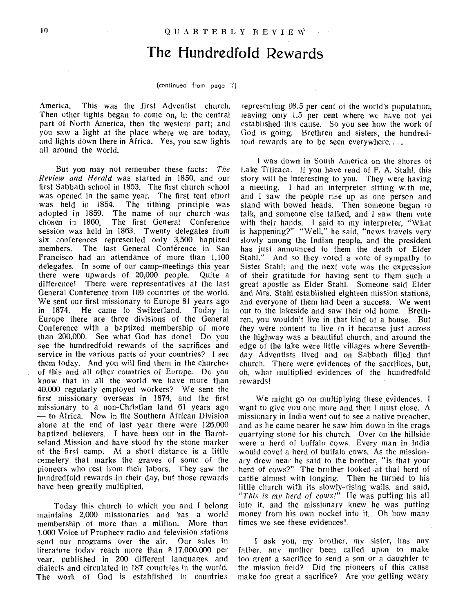### The Hundredfold Rewards

#### (continued from page 7)

America. This was the first Adventist church. Then other lights began to come on, in the central part of North America, then the western part; and you saw a light at the place where we are today, and lights down there in Africa. Yes, you saw lights all around the world.

But you may not remember these facts: *The Review and Herald* was started in 1850, and our first Sabbath school in 1853. The first church school was opened in the same year. The first tent effort was held in 1854. The tithing principle was adopted in 1859. The name of our church was<br>chosen in 1860. The first General Conference The first General Conference session was held in 1863. Twenty delegates from six conferences represented only 3,500 baptized members. The last General Conference in San Francisco had an attendance of more than 1,100 delegates. In some of our camp-meetings this year there were upwards of 20,000 people. Quite a difference! There were representatives at the last General Conference from 109 countries of the world. We sent our first missionary to Europe 81 years ago in 1874. He came to Switzerland. Today in Europe there are three divisions of the General Conference with a baptized membership of more than 200,000. See what God has done! Do you see the hundredfold rewards of the sacrifices and service in the various parts of your countries? I see them today. And you will find them in the churches of this and all other countries of Europe. Do you know that in all the world we have more than 40,000 regularly employed workers? We sent the first missionary overseas in 1874, and the first missionary to a non-Christian land 61 years ago — to Africa. Now in the Southern African Division alone at the end of last year there were 126,000 baptized believers. I have been out in the Barotseland Mission and have stood by the stone marker of the first camp. At a short distance is a little cemetery that marks the graves of some of the pioneers who rest from their labors. They saw the hundredfold rewards in their day, but those rewards have been greatly multiplied.

Today this church to which you and I belong maintains 2,000 missionaries and has a world membership of more than a million. More than 1.000 Voice of Prophecy radio and television stations send our programs over the air. Our sales in literature today reach more than \$ 17.000.000 per year, published in 200 different languages and dialects and circulated in 187 countries in the world. The work of God is established in countries

representing 98.5 per cent of the world's population, leaving only 1.5 per cent where we have not yet established this cause. So you see how the work of God is going. Brethren and sisters, the hundredfold rewards are to be seen everywhere....

I was down in South America on the shores of Lake Titicaca. If you have read of F. A. Stahl, this story will be interesting to you. They were having a meeting. I had an interpreter sitting with ine, and 1 saw the people rise up as one person and stand with bowed heads. Then someone began to talk, and someone else talked, and I saw them vote with their hands. I said to my interpreter, "What is happening?" "Well," he said, "news travels very slowly among the Indian people, and the president has just announced to them the death of Elder Stahl." And so they voted a vote of sympathy to Sister Stahl; and the next vote was the expression of their gratitude for having sent to them such a great apostle as Elder Stahl. Someone said Elder and Mrs. Stahl established eighteen mission stations, and everyone of them had been a success. We went out to the lakeside and saw their old home. Brethren, you wouldn't live in that kind of a house. But they were content to live in it because just across the highway was a beautiful church, and around the edge of the lake were little villages where Seventhday Adventists lived and on Sabbath filled that church. There were evidences of the sacrifices, but, oh, what multiplied evidences of the hundredfold rewards!

We might go on multiplying these evidences. I want to give you one more and then I must close. A missionary in India went out to see a native preacher, and as he came nearer he saw him down in the crags quarrying stone for his church. Over on the hillside were a herd of buffalo cows. Every man in India would covet a herd of buffalo cows. As the missionary drew near he said to the brother, "Is that your herd of cows?" The brother looked at that herd of cattle almost with longing. Then he turned to his little church with its slowly-rising walls, and said, *"This is my herd of cows!"* He was putting his all into it, and the missionary knew he was putting money from his own nocket into it. Oh how many times we see these evidences!

I ask you, my brother, my sister, has any father, any mother been called upon to make too great a sacrifice to send a son or a daughter to the mission field? Did the pioneers of this cause make too great a sacrifice? Are you getting weary

 $\ddot{\cdot}$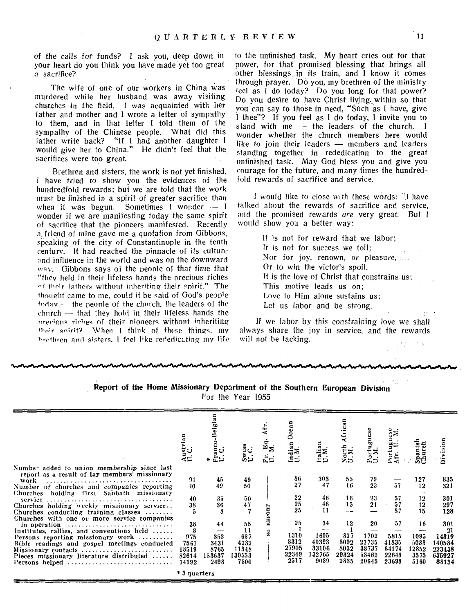of the calls for funds? I ask you, deep down in your heart do you think you have made yet too great a sacrifice?

The wife of one of our workers in China was murdered while her husband was away visiting churches in the field. I was acquainted with her father and mother and I wrote a letter of sympathy to them, and in that letter I told them of the sympathy of the Chinese people. What did this father write back? "If I had another daughter I would give her to China." He didn't feel that the sacrifices were too great.

Brethren and sisters, the work is not yet finished. I have tried to show you the evidences of the hundredfold rewards; but we are told that the work must be finished in a spirit of greater sacrifice than<br>when it was begun. Sometimes I wonder  $\sim$  I Sometimes I wonder  $-$  I wonder if we are manifesting today the same spirit of sacrifice that the pioneers manifested. Recently a: friend of mine gave me a quotation from Gibbons, speaking of the city of Constantinople in the tenth century. It had reached the pinnacle of its culture and influence in the world and was on the downward way. Gibbons says of the people of that time that "they held in their lifeless hands the precious riches <sup>f</sup>their fathers without inheriting their spirit." The thought came to me, could it be said of God's people today — the people of the church. the leaders of the  $church$  -- that they hold in their lifeless hands the nrecious riches of their nioneers without inheriting their snirit? When I think of these things. my brethren and sisters. I feel like rededicating my life

to the unfinished task. My heart cries out for that power, for that promised blessing that brings all other blessings in its train, and I know it comes through prayer. Do you, my brethren of the ministry feel as I do today? Do you long for that power? Do you desire to have Christ living within so that you can say to those in need, "Such as I have, give I thee"? If you feel as I do today, I invite you to stand with me — the leaders of the church. I wonder whether the church members here would like to join their leaders — members and leaders standing together in rededication to the great unfinished task. May God bless you and give you courage for the future, and many times the hundredfold rewards of sacrifice and service.

I would like to close with these words: "I have talked about the rewards of sacrifice and service, and the *promised* rewards *are* very great. But I would show you a better way:

> It is not for reward that we labor; It is not for success we toil; Nor for joy, renown, or pleasure, Or to win the victor's spoil. It is the love of Christ that constrains us; This motive leads us on; Love to Him alone sustains us; Let us labor and be strong.

If we labor by this constraining love we shall always share the joy in service, and the rewards will not be lacking.

#### **Report of the Home Missionary Department of the Southern European Division**  For the Year 1955

|                                                                                                                                                                                                                                                                                                                                                         | ustrian.<br>L.C.                                  |                                             |                                                    | ದ≍                         |                                              | Italia<br>U.M.                                 | orth<br>M.<br>えつ                           | Portuguese<br>U.M.                             |                                                | panisl<br>hurch                             | ä                                                         |
|---------------------------------------------------------------------------------------------------------------------------------------------------------------------------------------------------------------------------------------------------------------------------------------------------------------------------------------------------------|---------------------------------------------------|---------------------------------------------|----------------------------------------------------|----------------------------|----------------------------------------------|------------------------------------------------|--------------------------------------------|------------------------------------------------|------------------------------------------------|---------------------------------------------|-----------------------------------------------------------|
| Number added to union membership since last<br>report as a result of lay members' missionary<br>work<br>Number of churches and companies reporting                                                                                                                                                                                                      | 91<br>40                                          | 45<br>49                                    | 49<br>50                                           |                            | 86<br>27                                     | 303<br>47                                      | 55<br>16                                   | 79<br>23                                       | 57                                             | 127<br>12                                   | 835<br>321                                                |
| Churches holding first Sabbath missionary<br>service<br>Churches holding weekly missionary service<br>Churches conducting training classes                                                                                                                                                                                                              | 40<br>38<br>5                                     | 35<br>36                                    | 50<br>47                                           | ORT                        | 22<br>$\frac{25}{25}$                        | 46<br>46<br>11                                 | 16<br>15                                   | 23<br>21                                       | 57<br>57<br>57                                 | 12<br>12<br>15                              | 301<br>297<br>128                                         |
| Churches with one or more service companies<br>in operation $\ldots \ldots \ldots \ldots \ldots \ldots \ldots \ldots$<br>Institutes, rallies, and conventions held<br>Persons reporting missionary work<br>Bible readings and gospel meetings conducted<br>Missionary contacts<br>Pieces missionary literature distributed $\ldots$ .<br>Persons helped | 38<br>8<br>975<br>7561<br>18519<br>82614<br>14192 | 44<br>353<br>3431<br>8765<br>153637<br>2498 | 55<br>11<br>637<br>4232<br>11348<br>130553<br>7500 | RE<br>$\tilde{\mathbf{z}}$ | 25<br>1310<br>8312<br>27905<br>22349<br>2517 | 34<br>1605<br>40393<br>33106<br>132765<br>9089 | 12<br>827<br>8002<br>8032<br>29324<br>2835 | 20<br>1702<br>21735<br>38737<br>58462<br>20645 | 57<br>5815<br>41835<br>64174<br>22648<br>23698 | 16<br>1095<br>5083<br>12852<br>3575<br>5160 | 301<br>21<br>14319<br>140584<br>223438<br>635927<br>88134 |
|                                                                                                                                                                                                                                                                                                                                                         | * 3 quarters                                      |                                             |                                                    |                            |                                              |                                                |                                            |                                                |                                                |                                             |                                                           |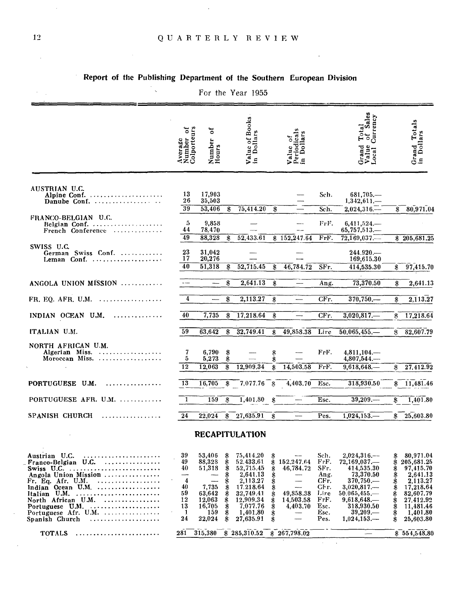$\sim$   $\sim$ 

 $\ddot{\phantom{a}}$ 

 $\hat{\epsilon}$ 

### Report of the Publishing Department of the Southern European Division

|                                                                                                                                                                                                                                                                                                                                                                                                   |                                                        |                                                                                    |                                                                | For the Year 1955                                                                                                                       |                                                          |                                                               |                                                                                      |                                                                                                                                                         |                                                            |                                                                                                                                           |
|---------------------------------------------------------------------------------------------------------------------------------------------------------------------------------------------------------------------------------------------------------------------------------------------------------------------------------------------------------------------------------------------------|--------------------------------------------------------|------------------------------------------------------------------------------------|----------------------------------------------------------------|-----------------------------------------------------------------------------------------------------------------------------------------|----------------------------------------------------------|---------------------------------------------------------------|--------------------------------------------------------------------------------------|---------------------------------------------------------------------------------------------------------------------------------------------------------|------------------------------------------------------------|-------------------------------------------------------------------------------------------------------------------------------------------|
|                                                                                                                                                                                                                                                                                                                                                                                                   | Average<br>Number of<br>Colporteurs                    | ัธ<br>Number<br>Hours                                                              |                                                                | Value of Books<br>in Dollars                                                                                                            |                                                          | Value of<br>Periodicals<br>in Dollars                         |                                                                                      | Total<br>of Sales<br>Currency<br>Grand<br>Value<br>Local (                                                                                              |                                                            | Grand Totals<br>in Dollars                                                                                                                |
| AUSTRIAN U.C.<br>Alpine Conf.<br>Danube Conf.                                                                                                                                                                                                                                                                                                                                                     | 13<br>26<br>39                                         | 17,903<br>35,503<br>53,406                                                         | \$                                                             | 75,414.20                                                                                                                               | \$                                                       |                                                               | Sch.<br>Sch.                                                                         | $681,705-$<br>$1,342,611-$<br>$2,024,316-$                                                                                                              |                                                            | 80,971.04                                                                                                                                 |
| FRANCO-BELGIAN U.C.<br>Belgian Conf.<br>French Conference                                                                                                                                                                                                                                                                                                                                         | 5<br>44<br>49                                          | 9,858<br>78,470<br>88,328                                                          | \$                                                             | 52,433.61                                                                                                                               |                                                          | \$152,247.64                                                  | FrF.<br>FrF.                                                                         | $6,411,524-$<br>$65,757,513\ldots$<br>$72,169,037-$                                                                                                     | \$                                                         | \$205,681.25                                                                                                                              |
| SWISS U.C.<br>German Swiss Conf.                                                                                                                                                                                                                                                                                                                                                                  | 23<br>17<br>40                                         | 31,042<br>20,276<br>51,318                                                         | \$                                                             | 52,715.45                                                                                                                               | \$                                                       | $\overline{46,784.72}$                                        | SFr.                                                                                 | 244.920<br>169,615.30<br>414,535.30                                                                                                                     | \$                                                         | 97,415.70                                                                                                                                 |
| ANGOLA UNION MISSION                                                                                                                                                                                                                                                                                                                                                                              |                                                        | $\overline{\phantom{m}}$                                                           | \$                                                             | 2,641.13                                                                                                                                | \$                                                       |                                                               | Ang.                                                                                 | 73,370,50                                                                                                                                               | \$                                                         | 2,641.13                                                                                                                                  |
| FR, EQ. AFR, U.M. $\dots \dots \dots \dots \dots$                                                                                                                                                                                                                                                                                                                                                 | $\overline{\mathbf{4}}$                                |                                                                                    | \$                                                             | 2,113.27                                                                                                                                | \$                                                       |                                                               | CFr.                                                                                 | 370,750                                                                                                                                                 | \$                                                         | 2,113.27                                                                                                                                  |
| INDIAN OCEAN U.M.<br>.                                                                                                                                                                                                                                                                                                                                                                            | 40                                                     | 7,735                                                                              | \$                                                             | 17,218.64                                                                                                                               | \$                                                       |                                                               | CFr.                                                                                 | $3,020,817-$                                                                                                                                            | Я                                                          | 17,218.64                                                                                                                                 |
| ITALIAN U.M.                                                                                                                                                                                                                                                                                                                                                                                      | 59                                                     | 63,642                                                                             | \$                                                             | 32,749.41                                                                                                                               | Я                                                        | 49,858.38                                                     | Lire                                                                                 | $50,065,455,$ —                                                                                                                                         | S                                                          | 82,607.79                                                                                                                                 |
| NORTH AFRICAN U.M.<br>Algerian Miss.<br>Moroccan Miss.                                                                                                                                                                                                                                                                                                                                            | 7<br>5<br>12                                           | 6,790<br>5,273<br>12,063                                                           | \$<br>\$<br>\$                                                 | 12,909.34                                                                                                                               | \$<br>\$<br>\$                                           | 14,503.58                                                     | FrF.<br>FrF.                                                                         | 4,811,104<br>$4,807,544\dots$<br>$9,618,648-$                                                                                                           | \$                                                         | 27.412.92                                                                                                                                 |
| PORTUGUESE U.M.                                                                                                                                                                                                                                                                                                                                                                                   | $\overline{13}$                                        | 16,705                                                                             | \$                                                             | 7,077.76                                                                                                                                | $\cdot$                                                  | 4,403.70                                                      | Esc.                                                                                 | 318,930.50                                                                                                                                              | \$                                                         | 11,481.46                                                                                                                                 |
| PORTUGUESE AFR. U.M.                                                                                                                                                                                                                                                                                                                                                                              | 1                                                      | 159                                                                                | \$                                                             | 1,401.80                                                                                                                                | \$                                                       |                                                               | Esc.                                                                                 | 39,209.                                                                                                                                                 | \$                                                         | 1,401.80                                                                                                                                  |
| SPANISH CHURCH                                                                                                                                                                                                                                                                                                                                                                                    | 24                                                     | 22,024                                                                             | \$                                                             | 27,635.91                                                                                                                               | \$                                                       |                                                               | Pes.                                                                                 | 1,024,153                                                                                                                                               | \$                                                         | 25,603.80                                                                                                                                 |
|                                                                                                                                                                                                                                                                                                                                                                                                   |                                                        |                                                                                    |                                                                | <b>RECAPITULATION</b>                                                                                                                   |                                                          |                                                               |                                                                                      |                                                                                                                                                         |                                                            |                                                                                                                                           |
| Austrian U.C.<br>.<br>Franco-Belgian U.C.<br>.<br>Swiss U.C. $\dots \dots \dots \dots \dots \dots \dots \dots \dots$<br>Angola Union Mission<br>. <i>.</i> .<br>Fr. Eq. Afr. U.M.<br>Indian Ocean U.M.<br>Italian U.M. $\ldots \ldots \ldots \ldots \ldots \ldots \ldots$<br>North African U.M.<br>Portuguese $U.M. \ldots \ldots \ldots \ldots \ldots$<br>Portuguese Afr. U.M.<br>Spanish Church | 39<br>49<br>40<br>4<br>40<br>59<br>12<br>13<br>1<br>24 | 53,406<br>88,328<br>51,318<br>7,735<br>63,642<br>12,063<br>16,705<br>159<br>22,024 | \$<br>\$<br>\$<br>\$<br>\$<br>\$<br>\$<br>\$<br>\$<br>\$<br>\$ | 75,414.20<br>52.433.61<br>52,715.45<br>2,641.13<br>2,113.27<br>17.218.64<br>32,749.41<br>12,909.34<br>7,077.76<br>1,401.80<br>27,635.91 | \$<br>\$<br>\$<br>\$<br>\$<br>\$<br>\$<br>\$<br>\$<br>\$ | 152,247.64<br>46,784.72<br>49,858.38<br>14,503.58<br>4,403.70 | Sch.<br>FrF.<br>SFr.<br>Ang.<br>CFr.<br>CFr.<br>Lire<br>FrF.<br>Esc.<br>Esc.<br>Pes. | $2,024,316$ -<br>72,169,037<br>414,535.30<br>73,370.50<br>370,750<br>$3,020,817-$<br>$50.065,455,$ —<br>9,618,648<br>318,930.50<br>39,209<br>1,024,153, | \$<br>\$<br>\$<br>\$<br>\$\$<br>\$<br>\$<br>\$<br>\$<br>\$ | 80,971.04<br>205,681.25<br>97,415.70<br>2,641.13<br>2,113.27<br>17,218.64<br>82,607.79<br>27,412.92<br>11,481.46<br>1,401.80<br>25,603.80 |
| <b>TOTALS</b>                                                                                                                                                                                                                                                                                                                                                                                     | 281                                                    | 315,380                                                                            |                                                                | \$285,310.52                                                                                                                            |                                                          | \$267,798.02                                                  |                                                                                      |                                                                                                                                                         |                                                            | \$554,548.80                                                                                                                              |
|                                                                                                                                                                                                                                                                                                                                                                                                   |                                                        |                                                                                    |                                                                |                                                                                                                                         |                                                          |                                                               | $\mathcal{L}_{\mathcal{A}}$                                                          | $\lambda$                                                                                                                                               |                                                            |                                                                                                                                           |

 $\sim$ 

 $\hat{\boldsymbol{\beta}}$ 

 $\hat{\boldsymbol{\beta}}$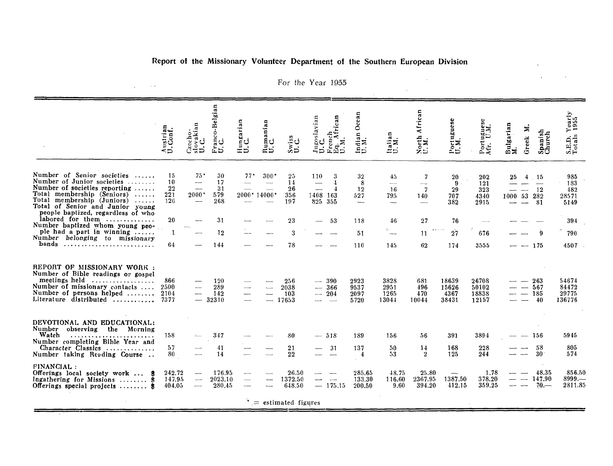### Report of the Missionary Volunteer Department of the Southern European Division

|                                                                                                                                                                                                                                 | ⊲⊃                           | aki<br>ن<br>Š                                                                    | anco-Belgia<br>ت عا           | Hungarian<br>U.C.                                    | Rumanian<br>U.C.     | ں ہے۔<br>ಜಿಸ                 | slavian                                     | Ocean<br>Indian<br>U.M.                          | $\alpha$<br>ËN.<br>ED                                                    | 듢<br><b>Afri</b><br>North<br>U.M. | Portuguese<br>U.M.              | ugue:<br>UM.<br>Port <sub>.</sub> | Bulgarian<br>M.<br>z<br>Greek | Spanish<br>Church              | $Yearly$<br>$1955$<br>S.E.D.<br>Totals |
|---------------------------------------------------------------------------------------------------------------------------------------------------------------------------------------------------------------------------------|------------------------------|----------------------------------------------------------------------------------|-------------------------------|------------------------------------------------------|----------------------|------------------------------|---------------------------------------------|--------------------------------------------------|--------------------------------------------------------------------------|-----------------------------------|---------------------------------|-----------------------------------|-------------------------------|--------------------------------|----------------------------------------|
| Number of Senior societies<br>Number of Junior societies<br>Number of societies reporting<br>Total membership (Seniors)<br>Total membership (Juniors)<br>Total of Senior and Junior young<br>people baptized, regardless of who | 15<br>10<br>22<br>221<br>126 | $75^{\circ}$<br>---<br>——<br>$2000*$<br>$\overline{\phantom{0}}$                 | 30<br>17<br>31<br>579<br>268  | $77^{\circ}$                                         | 300"<br>2000* 14000* | 25<br>14<br>26<br>356<br>197 | 110<br>$\frac{1}{2}$<br>1408 163<br>825 355 | 32<br>8<br>12<br>527<br>$\qquad \qquad - \qquad$ | 45.<br>$\overline{\phantom{a}}$<br>16<br>795<br>$\overline{\phantom{m}}$ | 7<br>7<br>140<br>$\cdots$         | 20<br>9<br>29<br>707<br>382     | 202<br>121<br>323<br>4340<br>2915 | 25<br>4<br>1000               | - 15<br>-12<br>53 282<br>- 81  | 985<br>183<br>482<br>28571<br>5149     |
| labored for them<br>Number baptized whom young peo-<br>ple had a part in winning                                                                                                                                                | 20                           |                                                                                  | 31<br>12                      |                                                      |                      | 23<br>3                      | 53                                          | 118<br>51                                        | 46                                                                       | 27<br>11                          | 76<br>27                        | 676                               |                               |                                | 394<br>790                             |
| Number belonging to missionary<br>bands                                                                                                                                                                                         | 64                           |                                                                                  | 144                           |                                                      |                      | 78                           |                                             | 110                                              | 145                                                                      | 62                                | 174                             | 3555                              |                               | $- 175$                        | 4507                                   |
| REPORT OF MISSIONARY WORK :<br>Number of Bible readings or gospel<br>meetings held<br>Number of missionary contacts<br>Number of persons helped<br>Literature distributed                                                       | 866<br>2500<br>2104<br>7377  | ---                                                                              | 120<br>289<br>142<br>$-32310$ | $\overline{\phantom{a}}$<br>$\overline{\phantom{0}}$ |                      | 256<br>2038<br>103<br>17653  | $-390$<br>$-366$<br>$-204$                  | 2923<br>9537<br>2097<br>5720                     | 3828<br>2951<br>1265<br>13044                                            | 681<br>496<br>470<br>10044        | 18639<br>15626<br>4367<br>38431 | 26708<br>50102<br>18838<br>12157  |                               | -263<br>— 567<br>$-185$<br>-40 | 54674<br>84472<br>29775<br>136776      |
| DEVOTIONAL AND EDUCATIONAL:<br>Number<br>observing<br>the Morning<br>Watch<br>Number completing Bible Year and<br>Character Classics<br>Number taking Reading Course                                                            | 158<br>57<br>80              |                                                                                  | 347<br>41<br>14               |                                                      |                      | 80<br>21<br>22               | $-518$<br>31                                | 189<br>137<br>4                                  | 156<br>50<br>53                                                          | 56<br>14<br>$\overline{2}$        | 391<br>168<br>125               | 3894<br>228<br>244                |                               | 156<br>58<br>-30               | 5945<br>805<br>574                     |
| FINANCIAL:<br>Offerings local society work  \$<br>Ingathering for Missions  \$<br>Offerings special projects $\ldots \ldots$ \$                                                                                                 | 242.72<br>147.95<br>404.05   | $\overline{\phantom{a}}$<br>$\overline{\phantom{a}}$<br>$\overline{\phantom{0}}$ | 176.95<br>2023.10<br>280.45   |                                                      |                      | 26.50<br>1372.50<br>648.50   | $\overline{\phantom{a}}$<br>$-175.15$       | 285.65<br>133.30<br>200.50                       | 48.75<br>116.60<br>9.60                                                  | 25.80<br>2367.95<br>394.20        | 1387.50<br>412.15               | 1.78<br>378.20<br>359.25          |                               | 48.35<br>147.90<br>$70-$       | 856.50<br>8999<br>2811.85              |
|                                                                                                                                                                                                                                 |                              |                                                                                  |                               |                                                      |                      | $t =$ estimated figures      |                                             |                                                  |                                                                          |                                   |                                 |                                   |                               |                                |                                        |

For the Year 1955

 $\hat{\mathcal{A}}$ 

 $\sim$   $\sim$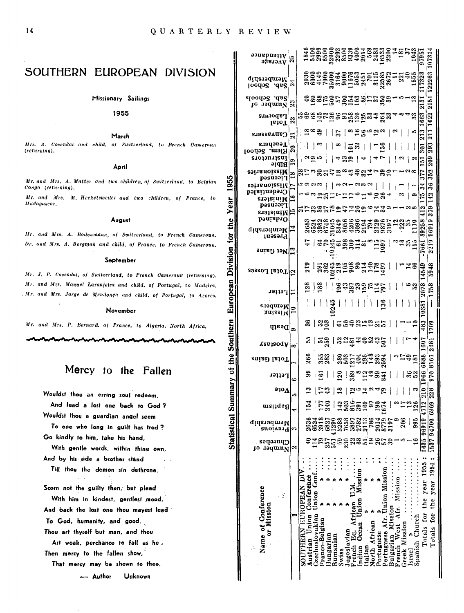1955

for the Year

Division

European

Statistical Summary of the Southern

### SOUTHERN EUROPEAN DIVISION

Missionary Sailings

1955

March

Mrs. A. Cosendai and child, of Switzerland, to French Cameroua '(returning).

#### April

Mr. and Mrs. A. Matter and two children, of Switzerland, to Belgian Congo (returning).

Mr. and Mrs. M. Hecketsweiler and two children, of France, to Madagascar.

August

Mr. and Mrs. A. Bodenmann, of Switzerland, to French Cameroun. Dr. and Mrs. A. Bergman and child, of France, to French Cameroun.

#### September

Mr. J. P. Cosendai, of Switzerland, to French Cameroun (returning). Mr. and Mrs. Manuel Laranjeira and child, of Portugal, to Madeira. Mr. and Mrs. Jorge de Mendonça and child, of Portugal, to Azores.

#### November

Mr. and Mrs. P. Bernard. of France, to Algeria, North Africa,

### Mercy to the Fallen

Wouldst thou an erring soul redeem,

And lead a lost one back to God? Wouldst thou a guardian angel seem To one who long in guilt has trod?

Go kindly to him, take his hand.

With gentle words, within thine own, And by his side a brother stand Till thou the demon sin dethrone.

Scorn not the guilty then, but plead

With him in kindest, gentlest mood, And back the lost one thou mayest lead To God, humanity, and good. Thou art thyself but man, and thou

Art weak, perchance to fall as he, Then mercy to the fallen show,

That mercy may be shown to thee.

Unknown - Author

| $\frac{33}{25}$<br>Membership<br>$\boldsymbol{z}$<br>Toodə2 .ds2'<br>sloodə8 .ds2<br>$\frac{1}{2}$<br>#ăxkârâŭärråv.<br>ន<br>jo 19qum <sub>N</sub><br>663<br>Laborers<br>earbergereada and a<br>2,<br>IsloT<br>$ \mathfrak{D} $ which $\mathfrak{D}$<br>$\frac{3}{21}$<br>$\begin{array}{c c c c c} \hline \multicolumn{3}{c }{\mathbf{a}} & \multicolumn{3}{c }{\mathbf{b}} \\ \hline \multicolumn{3}{c }{\mathbf{b}} & \multicolumn{3}{c }{\mathbf{c}} & \multicolumn{3}{c }{\mathbf{c}} \\ \hline \multicolumn{3}{c }{\mathbf{b}} & \multicolumn{3}{c }{\mathbf{c}} & \multicolumn{3}{c }{\mathbf{d}} \\ \hline \multicolumn{3}{c }{\mathbf{b}} & \multicolumn{3}{c }{\mathbf{c}} & \multicolumn{3}{c }{\mathbf{d}} \\ \hline \multic$<br>- ∞ ဆု ၂<br>Canvassers<br>Teachers<br>293<br> ∞   ဋ္ဌ ဆုု   ဗ္မာ္ဆုု<br>ا $_{\omega}$ ا<br>go<br>$\overline{\phantom{a}}$<br>Ã<br>Elem. School<br>grojonijsul<br>209<br> 485 4 46<br> a <br>5<br>٥<br>Bible<br>səinanoizziM<br>352<br>8.11:35.12。おおいは了3.21128<br>377<br>œ<br>Licensed<br>36<br>$\overline{\phantom{a}}$<br>34<br>səi is noizzi K¦ı-<br>ဇာတာတာ ၂<br>$ $ ယေမျပးမဟုတ် $ $<br>Credentialed<br>Ě<br>142<br><b>; 汨络Ⅱ7ⅡⅣ月6m%4 │ □</b><br>∣≏<br>అ<br>s.19181u!W<br>pəsuəətr<br>412<br>arssarenderse ist<br>چيز<br>erəfaitiM<br>bonisb10<br>8095.R<br>833834495055553355513351<br>833844950555535513351<br>833844950555535513351<br><b>didemodus</b><br>Present<br><b>20145202120 1120 124121</b><br>-7661<br>$_{\rm {ratio}}$ ) 19 $_{\rm N}$ $_{\rm \odot}$<br>4549<br>n 834598854985     148<br>2   23459887498     148<br><sub>29880</sub> ၂၂၀၂၀၂၀<br>    అజ<br>$\frac{1}{2}$ and $\frac{1}{2}$ and $\frac{1}{2}$ and $\frac{1}{2}$<br>គួ ទ្រ  <br>astie.rer<br>Members<br>$\text{Suitsim}\left \mathbb{R}\right $<br>483<br>-- 5<br>ឌ   ಜូក្គី   ៤នងនាក់ ដូច  <br>$q$ l Destl<br><u> 및 [ 만</u> ] 영상 ( 영상 소설 ) 영상<br>Yes120qA ∞<br>8   58   825 353 35<br>  ಎದ ವೆಹ<br>enisd letoT  <mark>'</mark><br> 83 <br>  <u>육</u>  훓~옆뿍흚풂  <br>L<br>$\frac{1}{2}$<br>Letter<br>¢<br>$\mathbf{\hat{z}}$   $\mathbf{\hat{z}}$   $\mathbf{\hat{z}}$   $\mathbf{\hat{z}}$   $\mathbf{\hat{z}}$<br>$\omega \Lambda^{\rm ote}$<br>  ო<br>$\frac{2}{1}$<br>$\log$<br>$\frac{1}{2}$<br>1.54<br>mei1qafl<br>995<br>3288<br>2782<br>2113<br>206<br>1635 96919<br>6524<br>6827<br>41290<br>7658<br>3897<br>786<br>2014<br>8779<br>3197<br>153794700<br>Membership<br>Oivəyq<br>Churches<br>Number<br>$\scriptstyle\sim$<br>ŢО<br>Totals for the year 1955:<br>Totals for the year 1954:<br>Pertuguese Afr. Union Mission<br>Jnion Cont<br>Mission<br>Austrian Union Conference<br>SOUTHERN EUROPEAN DI<br>French West Afr. Mission<br>Name of Conference<br>Σ<br>Π<br>ÿ<br>Union<br>French Eq. African<br>or Mission<br>Bulgarian Mission<br>lzechoslovakian<br>Spanish Church<br>Fanco-Belgian<br>Ocean<br>North African<br>Greek Mission<br>lugoslavian<br>Portuguese<br>Hungarian<br>Rumanian<br>ndian<br>talian<br>Swiss<br>Israe | $\frac{1}{2}$ Average |  |  |  |  |  |  |  |  |  |  |  |
|--------------------------------------------------------------------------------------------------------------------------------------------------------------------------------------------------------------------------------------------------------------------------------------------------------------------------------------------------------------------------------------------------------------------------------------------------------------------------------------------------------------------------------------------------------------------------------------------------------------------------------------------------------------------------------------------------------------------------------------------------------------------------------------------------------------------------------------------------------------------------------------------------------------------------------------------------------------------------------------------------------------------------------------------------------------------------------------------------------------------------------------------------------------------------------------------------------------------------------------------------------------------------------------------------------------------------------------------------------------------------------------------------------------------------------------------------------------------------------------------------------------------------------------------------------------------------------------------------------------------------------------------------------------------------------------------------------------------------------------------------------------------------------------------------------------------------------------------------------------------------------------------------------------------------------------------------------------------------------------------------------------------------------------------------------------------------------------------------------------------------------------------------------------------------------------------------------------------------------------------------------------------------------------------------------------------------------------------------------------------------------------------------------------------------------------------------------------------------------------------------------------------------------------------------------------------------------------------------------------------------------------------------------------------------------------------------------------------------------------------------------------------------------------------------------------------------------------------------------------------------------------------------------------------------------------------------------------------------|-----------------------|--|--|--|--|--|--|--|--|--|--|--|
|                                                                                                                                                                                                                                                                                                                                                                                                                                                                                                                                                                                                                                                                                                                                                                                                                                                                                                                                                                                                                                                                                                                                                                                                                                                                                                                                                                                                                                                                                                                                                                                                                                                                                                                                                                                                                                                                                                                                                                                                                                                                                                                                                                                                                                                                                                                                                                                                                                                                                                                                                                                                                                                                                                                                                                                                                                                                                                                                                                          |                       |  |  |  |  |  |  |  |  |  |  |  |
|                                                                                                                                                                                                                                                                                                                                                                                                                                                                                                                                                                                                                                                                                                                                                                                                                                                                                                                                                                                                                                                                                                                                                                                                                                                                                                                                                                                                                                                                                                                                                                                                                                                                                                                                                                                                                                                                                                                                                                                                                                                                                                                                                                                                                                                                                                                                                                                                                                                                                                                                                                                                                                                                                                                                                                                                                                                                                                                                                                          |                       |  |  |  |  |  |  |  |  |  |  |  |
|                                                                                                                                                                                                                                                                                                                                                                                                                                                                                                                                                                                                                                                                                                                                                                                                                                                                                                                                                                                                                                                                                                                                                                                                                                                                                                                                                                                                                                                                                                                                                                                                                                                                                                                                                                                                                                                                                                                                                                                                                                                                                                                                                                                                                                                                                                                                                                                                                                                                                                                                                                                                                                                                                                                                                                                                                                                                                                                                                                          |                       |  |  |  |  |  |  |  |  |  |  |  |
|                                                                                                                                                                                                                                                                                                                                                                                                                                                                                                                                                                                                                                                                                                                                                                                                                                                                                                                                                                                                                                                                                                                                                                                                                                                                                                                                                                                                                                                                                                                                                                                                                                                                                                                                                                                                                                                                                                                                                                                                                                                                                                                                                                                                                                                                                                                                                                                                                                                                                                                                                                                                                                                                                                                                                                                                                                                                                                                                                                          |                       |  |  |  |  |  |  |  |  |  |  |  |
|                                                                                                                                                                                                                                                                                                                                                                                                                                                                                                                                                                                                                                                                                                                                                                                                                                                                                                                                                                                                                                                                                                                                                                                                                                                                                                                                                                                                                                                                                                                                                                                                                                                                                                                                                                                                                                                                                                                                                                                                                                                                                                                                                                                                                                                                                                                                                                                                                                                                                                                                                                                                                                                                                                                                                                                                                                                                                                                                                                          |                       |  |  |  |  |  |  |  |  |  |  |  |
|                                                                                                                                                                                                                                                                                                                                                                                                                                                                                                                                                                                                                                                                                                                                                                                                                                                                                                                                                                                                                                                                                                                                                                                                                                                                                                                                                                                                                                                                                                                                                                                                                                                                                                                                                                                                                                                                                                                                                                                                                                                                                                                                                                                                                                                                                                                                                                                                                                                                                                                                                                                                                                                                                                                                                                                                                                                                                                                                                                          |                       |  |  |  |  |  |  |  |  |  |  |  |
|                                                                                                                                                                                                                                                                                                                                                                                                                                                                                                                                                                                                                                                                                                                                                                                                                                                                                                                                                                                                                                                                                                                                                                                                                                                                                                                                                                                                                                                                                                                                                                                                                                                                                                                                                                                                                                                                                                                                                                                                                                                                                                                                                                                                                                                                                                                                                                                                                                                                                                                                                                                                                                                                                                                                                                                                                                                                                                                                                                          |                       |  |  |  |  |  |  |  |  |  |  |  |
|                                                                                                                                                                                                                                                                                                                                                                                                                                                                                                                                                                                                                                                                                                                                                                                                                                                                                                                                                                                                                                                                                                                                                                                                                                                                                                                                                                                                                                                                                                                                                                                                                                                                                                                                                                                                                                                                                                                                                                                                                                                                                                                                                                                                                                                                                                                                                                                                                                                                                                                                                                                                                                                                                                                                                                                                                                                                                                                                                                          |                       |  |  |  |  |  |  |  |  |  |  |  |
|                                                                                                                                                                                                                                                                                                                                                                                                                                                                                                                                                                                                                                                                                                                                                                                                                                                                                                                                                                                                                                                                                                                                                                                                                                                                                                                                                                                                                                                                                                                                                                                                                                                                                                                                                                                                                                                                                                                                                                                                                                                                                                                                                                                                                                                                                                                                                                                                                                                                                                                                                                                                                                                                                                                                                                                                                                                                                                                                                                          |                       |  |  |  |  |  |  |  |  |  |  |  |
|                                                                                                                                                                                                                                                                                                                                                                                                                                                                                                                                                                                                                                                                                                                                                                                                                                                                                                                                                                                                                                                                                                                                                                                                                                                                                                                                                                                                                                                                                                                                                                                                                                                                                                                                                                                                                                                                                                                                                                                                                                                                                                                                                                                                                                                                                                                                                                                                                                                                                                                                                                                                                                                                                                                                                                                                                                                                                                                                                                          |                       |  |  |  |  |  |  |  |  |  |  |  |
|                                                                                                                                                                                                                                                                                                                                                                                                                                                                                                                                                                                                                                                                                                                                                                                                                                                                                                                                                                                                                                                                                                                                                                                                                                                                                                                                                                                                                                                                                                                                                                                                                                                                                                                                                                                                                                                                                                                                                                                                                                                                                                                                                                                                                                                                                                                                                                                                                                                                                                                                                                                                                                                                                                                                                                                                                                                                                                                                                                          |                       |  |  |  |  |  |  |  |  |  |  |  |
|                                                                                                                                                                                                                                                                                                                                                                                                                                                                                                                                                                                                                                                                                                                                                                                                                                                                                                                                                                                                                                                                                                                                                                                                                                                                                                                                                                                                                                                                                                                                                                                                                                                                                                                                                                                                                                                                                                                                                                                                                                                                                                                                                                                                                                                                                                                                                                                                                                                                                                                                                                                                                                                                                                                                                                                                                                                                                                                                                                          |                       |  |  |  |  |  |  |  |  |  |  |  |
|                                                                                                                                                                                                                                                                                                                                                                                                                                                                                                                                                                                                                                                                                                                                                                                                                                                                                                                                                                                                                                                                                                                                                                                                                                                                                                                                                                                                                                                                                                                                                                                                                                                                                                                                                                                                                                                                                                                                                                                                                                                                                                                                                                                                                                                                                                                                                                                                                                                                                                                                                                                                                                                                                                                                                                                                                                                                                                                                                                          |                       |  |  |  |  |  |  |  |  |  |  |  |
|                                                                                                                                                                                                                                                                                                                                                                                                                                                                                                                                                                                                                                                                                                                                                                                                                                                                                                                                                                                                                                                                                                                                                                                                                                                                                                                                                                                                                                                                                                                                                                                                                                                                                                                                                                                                                                                                                                                                                                                                                                                                                                                                                                                                                                                                                                                                                                                                                                                                                                                                                                                                                                                                                                                                                                                                                                                                                                                                                                          |                       |  |  |  |  |  |  |  |  |  |  |  |
|                                                                                                                                                                                                                                                                                                                                                                                                                                                                                                                                                                                                                                                                                                                                                                                                                                                                                                                                                                                                                                                                                                                                                                                                                                                                                                                                                                                                                                                                                                                                                                                                                                                                                                                                                                                                                                                                                                                                                                                                                                                                                                                                                                                                                                                                                                                                                                                                                                                                                                                                                                                                                                                                                                                                                                                                                                                                                                                                                                          |                       |  |  |  |  |  |  |  |  |  |  |  |
|                                                                                                                                                                                                                                                                                                                                                                                                                                                                                                                                                                                                                                                                                                                                                                                                                                                                                                                                                                                                                                                                                                                                                                                                                                                                                                                                                                                                                                                                                                                                                                                                                                                                                                                                                                                                                                                                                                                                                                                                                                                                                                                                                                                                                                                                                                                                                                                                                                                                                                                                                                                                                                                                                                                                                                                                                                                                                                                                                                          |                       |  |  |  |  |  |  |  |  |  |  |  |
|                                                                                                                                                                                                                                                                                                                                                                                                                                                                                                                                                                                                                                                                                                                                                                                                                                                                                                                                                                                                                                                                                                                                                                                                                                                                                                                                                                                                                                                                                                                                                                                                                                                                                                                                                                                                                                                                                                                                                                                                                                                                                                                                                                                                                                                                                                                                                                                                                                                                                                                                                                                                                                                                                                                                                                                                                                                                                                                                                                          |                       |  |  |  |  |  |  |  |  |  |  |  |
|                                                                                                                                                                                                                                                                                                                                                                                                                                                                                                                                                                                                                                                                                                                                                                                                                                                                                                                                                                                                                                                                                                                                                                                                                                                                                                                                                                                                                                                                                                                                                                                                                                                                                                                                                                                                                                                                                                                                                                                                                                                                                                                                                                                                                                                                                                                                                                                                                                                                                                                                                                                                                                                                                                                                                                                                                                                                                                                                                                          |                       |  |  |  |  |  |  |  |  |  |  |  |
|                                                                                                                                                                                                                                                                                                                                                                                                                                                                                                                                                                                                                                                                                                                                                                                                                                                                                                                                                                                                                                                                                                                                                                                                                                                                                                                                                                                                                                                                                                                                                                                                                                                                                                                                                                                                                                                                                                                                                                                                                                                                                                                                                                                                                                                                                                                                                                                                                                                                                                                                                                                                                                                                                                                                                                                                                                                                                                                                                                          |                       |  |  |  |  |  |  |  |  |  |  |  |
|                                                                                                                                                                                                                                                                                                                                                                                                                                                                                                                                                                                                                                                                                                                                                                                                                                                                                                                                                                                                                                                                                                                                                                                                                                                                                                                                                                                                                                                                                                                                                                                                                                                                                                                                                                                                                                                                                                                                                                                                                                                                                                                                                                                                                                                                                                                                                                                                                                                                                                                                                                                                                                                                                                                                                                                                                                                                                                                                                                          |                       |  |  |  |  |  |  |  |  |  |  |  |
|                                                                                                                                                                                                                                                                                                                                                                                                                                                                                                                                                                                                                                                                                                                                                                                                                                                                                                                                                                                                                                                                                                                                                                                                                                                                                                                                                                                                                                                                                                                                                                                                                                                                                                                                                                                                                                                                                                                                                                                                                                                                                                                                                                                                                                                                                                                                                                                                                                                                                                                                                                                                                                                                                                                                                                                                                                                                                                                                                                          |                       |  |  |  |  |  |  |  |  |  |  |  |
|                                                                                                                                                                                                                                                                                                                                                                                                                                                                                                                                                                                                                                                                                                                                                                                                                                                                                                                                                                                                                                                                                                                                                                                                                                                                                                                                                                                                                                                                                                                                                                                                                                                                                                                                                                                                                                                                                                                                                                                                                                                                                                                                                                                                                                                                                                                                                                                                                                                                                                                                                                                                                                                                                                                                                                                                                                                                                                                                                                          |                       |  |  |  |  |  |  |  |  |  |  |  |
|                                                                                                                                                                                                                                                                                                                                                                                                                                                                                                                                                                                                                                                                                                                                                                                                                                                                                                                                                                                                                                                                                                                                                                                                                                                                                                                                                                                                                                                                                                                                                                                                                                                                                                                                                                                                                                                                                                                                                                                                                                                                                                                                                                                                                                                                                                                                                                                                                                                                                                                                                                                                                                                                                                                                                                                                                                                                                                                                                                          |                       |  |  |  |  |  |  |  |  |  |  |  |
|                                                                                                                                                                                                                                                                                                                                                                                                                                                                                                                                                                                                                                                                                                                                                                                                                                                                                                                                                                                                                                                                                                                                                                                                                                                                                                                                                                                                                                                                                                                                                                                                                                                                                                                                                                                                                                                                                                                                                                                                                                                                                                                                                                                                                                                                                                                                                                                                                                                                                                                                                                                                                                                                                                                                                                                                                                                                                                                                                                          |                       |  |  |  |  |  |  |  |  |  |  |  |
|                                                                                                                                                                                                                                                                                                                                                                                                                                                                                                                                                                                                                                                                                                                                                                                                                                                                                                                                                                                                                                                                                                                                                                                                                                                                                                                                                                                                                                                                                                                                                                                                                                                                                                                                                                                                                                                                                                                                                                                                                                                                                                                                                                                                                                                                                                                                                                                                                                                                                                                                                                                                                                                                                                                                                                                                                                                                                                                                                                          |                       |  |  |  |  |  |  |  |  |  |  |  |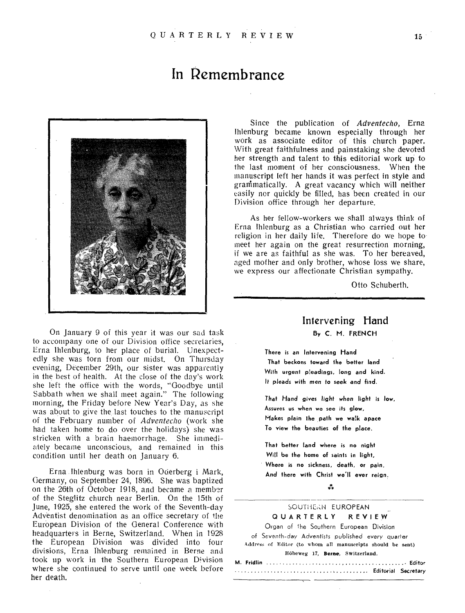## **in Remembrance**



On January 9 of this year it was our sad task to accompany one of our Division office secretaries, Erna Ihlenburg, to her place of burial. Unexpectedly she was torn from our midst. On Thursday evening, December 29th, our sister was apparently in the best of health. At the close of the day's work she left the office with the words, "Goodbye until Sabbath when we shall meet again." The following morning, the Friday before New Year's Day, as she was about to give the last touches to the manuscript of the February number of *Adventecho* (work she had taken home to do over the holidays) she was stricken with a brain haemorrhage. She immediately became unconscious, and remained in this condition until her death on January 6.

Erna Ihlenburg was born in Oderberg i Mark, Germany, on September 24, 1896. She was baptized on the 26th of October 1918, and became a member of the Steglitz church near Berlin. On the 15th of June, 1925, she entered the work of the Seventh-day Adventist denomination as an office secretary of the European Division of the General Conference with headquarters in Berne, Switzerland. When in 1928 the European Division was divided into four divisions, Erna Ihlenburg remained in Berne and took up work in the Southern European Division where she continued to serve until one week before her death.

Since the publication of *Adventecho,* Erna Ihlenburg became known especially through her work as associate editor of this church paper. With great faithfulness and painstaking she devoted her strength and talent to this editorial work up to the last moment of her consciousness. When the manuscript left her hands it was perfect in style and granimatically. A great vacancy which will neither easily nor quickly be filled, has been created in our Division office through her departure.

As her fellow-workers we shall always think of Erna Ihlenburg as a Christian who carried out her religion in her daily life. Therefore do we hope to meet her again on the great resurrection morning, if we are as faithful as she was. To her bereaved, aged mother and only brother, whose loss we share, we express our affectionate Christian sympathy.

Otto Schuberth.

### Intervening Hand By C. M. FRENCH

There is an Intervening Hand That beckons toward the better land With urgent pleadings, long and kind. It pleads with men to seek and find.

That Hand gives light when light is low, Assures us when we see its glow, Makes plain the path we walk apace To view the beauties of the place.

That better land where is no night Will be the home of saints in light,

Where is no sickness, death, or pain, And there with Christ we'll ever reign.

#### \*\*\*

### SOUTHERN EUROPEAN

QUARTERLY REVIEW

Organ of the Southern European Division of Seventh-day Adventists published every quarter Addres, of Editor (to whom all manuscripts should be sent) liOheweg 17, **Berne,** Switzerland,